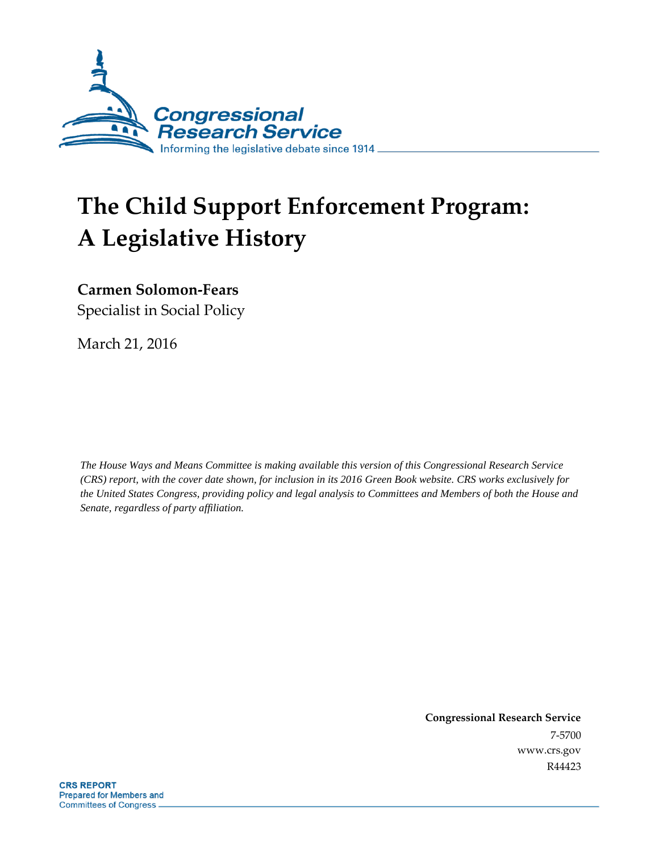

# **The Child Support Enforcement Program: A Legislative History**

**Carmen Solomon-Fears**

Specialist in Social Policy

March 21, 2016

*The House Ways and Means Committee is making available this version of this Congressional Research Service (CRS) report, with the cover date shown, for inclusion in its 2016 Green Book website. CRS works exclusively for the United States Congress, providing policy and legal analysis to Committees and Members of both the House and Senate, regardless of party affiliation.* 

> **Congressional Research Service** 7-5700 www.crs.gov R44423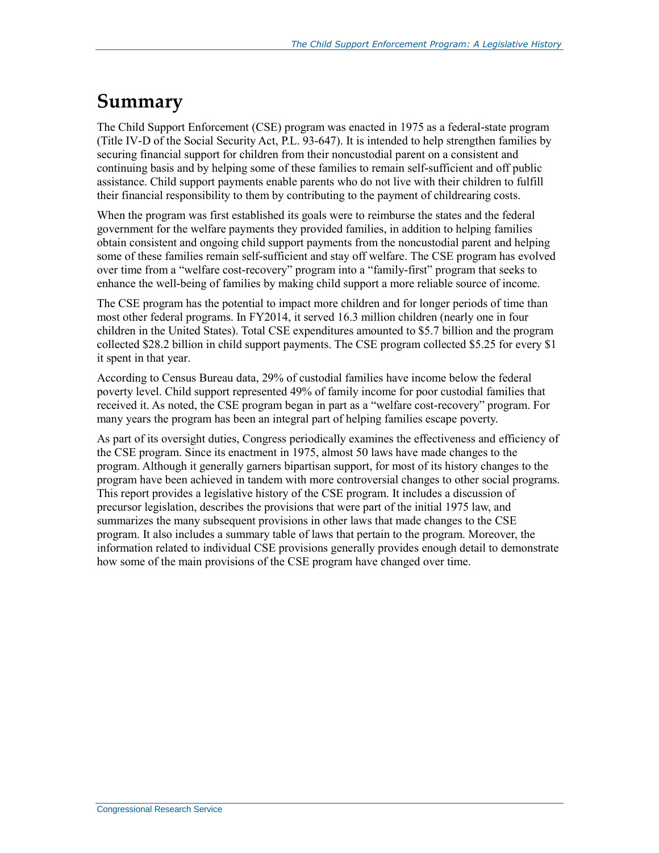### **Summary**

The Child Support Enforcement (CSE) program was enacted in 1975 as a federal-state program (Title IV-D of the Social Security Act, P.L. 93-647). It is intended to help strengthen families by securing financial support for children from their noncustodial parent on a consistent and continuing basis and by helping some of these families to remain self-sufficient and off public assistance. Child support payments enable parents who do not live with their children to fulfill their financial responsibility to them by contributing to the payment of childrearing costs.

When the program was first established its goals were to reimburse the states and the federal government for the welfare payments they provided families, in addition to helping families obtain consistent and ongoing child support payments from the noncustodial parent and helping some of these families remain self-sufficient and stay off welfare. The CSE program has evolved over time from a "welfare cost-recovery" program into a "family-first" program that seeks to enhance the well-being of families by making child support a more reliable source of income.

The CSE program has the potential to impact more children and for longer periods of time than most other federal programs. In FY2014, it served 16.3 million children (nearly one in four children in the United States). Total CSE expenditures amounted to \$5.7 billion and the program collected \$28.2 billion in child support payments. The CSE program collected \$5.25 for every \$1 it spent in that year.

According to Census Bureau data, 29% of custodial families have income below the federal poverty level. Child support represented 49% of family income for poor custodial families that received it. As noted, the CSE program began in part as a "welfare cost-recovery" program. For many years the program has been an integral part of helping families escape poverty.

As part of its oversight duties, Congress periodically examines the effectiveness and efficiency of the CSE program. Since its enactment in 1975, almost 50 laws have made changes to the program. Although it generally garners bipartisan support, for most of its history changes to the program have been achieved in tandem with more controversial changes to other social programs. This report provides a legislative history of the CSE program. It includes a discussion of precursor legislation, describes the provisions that were part of the initial 1975 law, and summarizes the many subsequent provisions in other laws that made changes to the CSE program. It also includes a summary table of laws that pertain to the program. Moreover, the information related to individual CSE provisions generally provides enough detail to demonstrate how some of the main provisions of the CSE program have changed over time.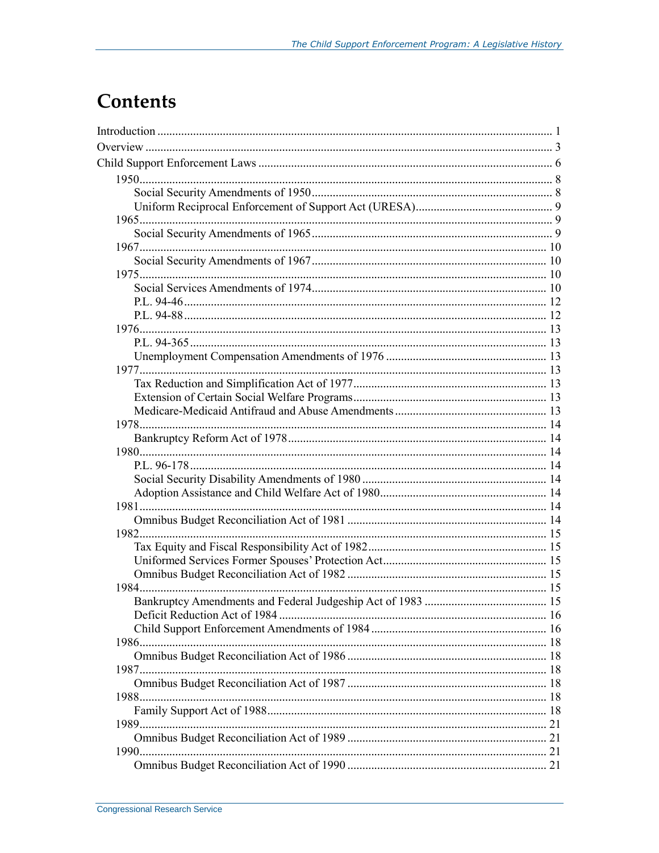## **Contents**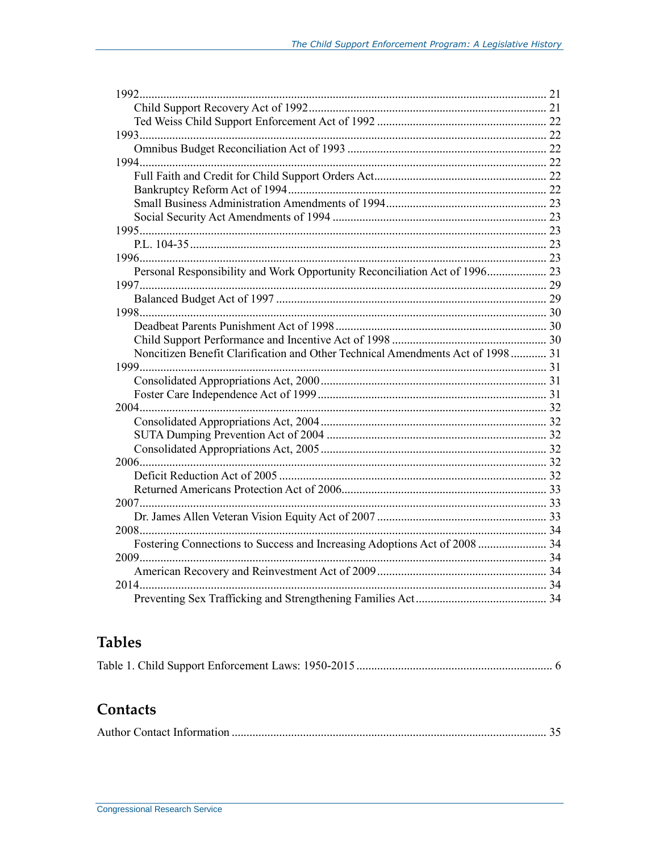| Noncitizen Benefit Clarification and Other Technical Amendments Act of 1998  31 |  |
|---------------------------------------------------------------------------------|--|
|                                                                                 |  |
|                                                                                 |  |
|                                                                                 |  |
|                                                                                 |  |
|                                                                                 |  |
|                                                                                 |  |
|                                                                                 |  |
|                                                                                 |  |
|                                                                                 |  |
|                                                                                 |  |
| 2007.                                                                           |  |
|                                                                                 |  |
| 2008.                                                                           |  |
| Fostering Connections to Success and Increasing Adoptions Act of 2008  34       |  |
|                                                                                 |  |
|                                                                                 |  |
|                                                                                 |  |
|                                                                                 |  |
|                                                                                 |  |

### **Tables**

|--|--|--|--|--|

### Contacts

|--|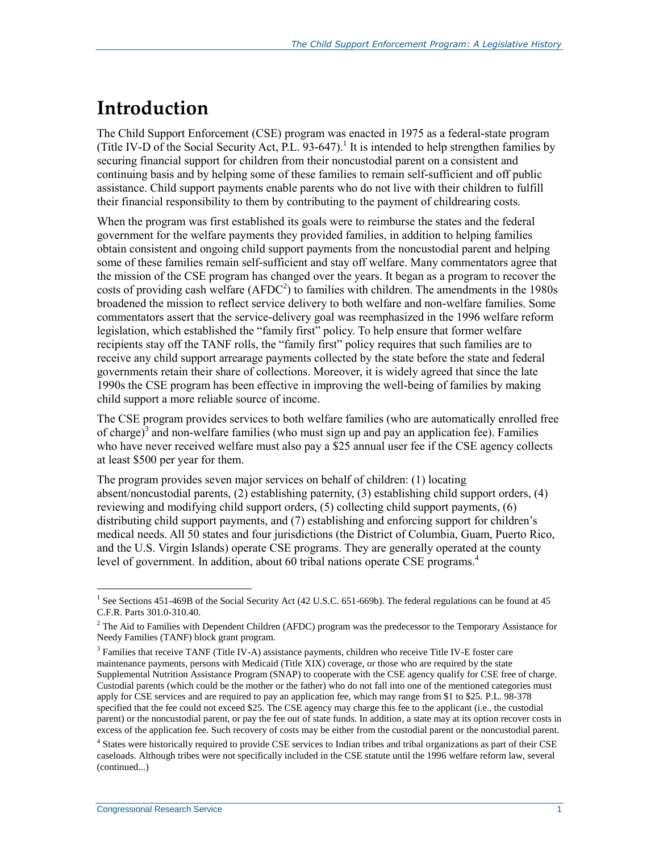## **Introduction**

The Child Support Enforcement (CSE) program was enacted in 1975 as a federal-state program (Title IV-D of the Social Security Act, P.L. 93-647). 1 It is intended to help strengthen families by securing financial support for children from their noncustodial parent on a consistent and continuing basis and by helping some of these families to remain self-sufficient and off public assistance. Child support payments enable parents who do not live with their children to fulfill their financial responsibility to them by contributing to the payment of childrearing costs.

When the program was first established its goals were to reimburse the states and the federal government for the welfare payments they provided families, in addition to helping families obtain consistent and ongoing child support payments from the noncustodial parent and helping some of these families remain self-sufficient and stay off welfare. Many commentators agree that the mission of the CSE program has changed over the years. It began as a program to recover the costs of providing cash welfare  $(AFDC<sup>2</sup>)$  to families with children. The amendments in the 1980s broadened the mission to reflect service delivery to both welfare and non-welfare families. Some commentators assert that the service-delivery goal was reemphasized in the 1996 welfare reform legislation, which established the "family first" policy. To help ensure that former welfare recipients stay off the TANF rolls, the "family first" policy requires that such families are to receive any child support arrearage payments collected by the state before the state and federal governments retain their share of collections. Moreover, it is widely agreed that since the late 1990s the CSE program has been effective in improving the well-being of families by making child support a more reliable source of income.

The CSE program provides services to both welfare families (who are automatically enrolled free of charge)<sup>3</sup> and non-welfare families (who must sign up and pay an application fee). Families who have never received welfare must also pay a \$25 annual user fee if the CSE agency collects at least \$500 per year for them.

The program provides seven major services on behalf of children: (1) locating absent/noncustodial parents, (2) establishing paternity, (3) establishing child support orders, (4) reviewing and modifying child support orders, (5) collecting child support payments, (6) distributing child support payments, and (7) establishing and enforcing support for children's medical needs. All 50 states and four jurisdictions (the District of Columbia, Guam, Puerto Rico, and the U.S. Virgin Islands) operate CSE programs. They are generally operated at the county level of government. In addition, about 60 tribal nations operate CSE programs.<sup>4</sup>

<sup>&</sup>lt;sup>1</sup> See Sections 451-469B of the Social Security Act (42 U.S.C. 651-669b). The federal regulations can be found at 45 C.F.R. Parts 301.0-310.40.

<sup>&</sup>lt;sup>2</sup> The Aid to Families with Dependent Children (AFDC) program was the predecessor to the Temporary Assistance for Needy Families (TANF) block grant program.

<sup>&</sup>lt;sup>3</sup> Families that receive TANF (Title IV-A) assistance payments, children who receive Title IV-E foster care maintenance payments, persons with Medicaid (Title XIX) coverage, or those who are required by the state Supplemental Nutrition Assistance Program (SNAP) to cooperate with the CSE agency qualify for CSE free of charge. Custodial parents (which could be the mother or the father) who do not fall into one of the mentioned categories must apply for CSE services and are required to pay an application fee, which may range from \$1 to \$25. P.L. 98-378 specified that the fee could not exceed \$25. The CSE agency may charge this fee to the applicant (i.e., the custodial parent) or the noncustodial parent, or pay the fee out of state funds. In addition, a state may at its option recover costs in excess of the application fee. Such recovery of costs may be either from the custodial parent or the noncustodial parent.

<sup>4</sup> States were historically required to provide CSE services to Indian tribes and tribal organizations as part of their CSE caseloads. Although tribes were not specifically included in the CSE statute until the 1996 welfare reform law, several (continued...)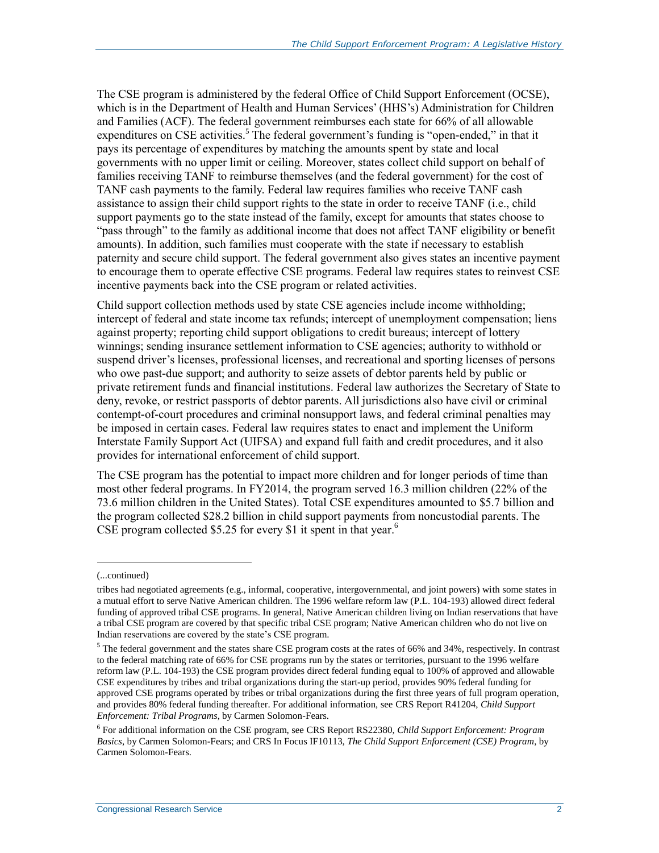The CSE program is administered by the federal Office of Child Support Enforcement (OCSE), which is in the Department of Health and Human Services' (HHS's) Administration for Children and Families (ACF). The federal government reimburses each state for 66% of all allowable expenditures on CSE activities.<sup>5</sup> The federal government's funding is "open-ended," in that it pays its percentage of expenditures by matching the amounts spent by state and local governments with no upper limit or ceiling. Moreover, states collect child support on behalf of families receiving TANF to reimburse themselves (and the federal government) for the cost of TANF cash payments to the family. Federal law requires families who receive TANF cash assistance to assign their child support rights to the state in order to receive TANF (i.e., child support payments go to the state instead of the family, except for amounts that states choose to "pass through" to the family as additional income that does not affect TANF eligibility or benefit amounts). In addition, such families must cooperate with the state if necessary to establish paternity and secure child support. The federal government also gives states an incentive payment to encourage them to operate effective CSE programs. Federal law requires states to reinvest CSE incentive payments back into the CSE program or related activities.

Child support collection methods used by state CSE agencies include income withholding; intercept of federal and state income tax refunds; intercept of unemployment compensation; liens against property; reporting child support obligations to credit bureaus; intercept of lottery winnings; sending insurance settlement information to CSE agencies; authority to withhold or suspend driver's licenses, professional licenses, and recreational and sporting licenses of persons who owe past-due support; and authority to seize assets of debtor parents held by public or private retirement funds and financial institutions. Federal law authorizes the Secretary of State to deny, revoke, or restrict passports of debtor parents. All jurisdictions also have civil or criminal contempt-of-court procedures and criminal nonsupport laws, and federal criminal penalties may be imposed in certain cases. Federal law requires states to enact and implement the Uniform Interstate Family Support Act (UIFSA) and expand full faith and credit procedures, and it also provides for international enforcement of child support.

The CSE program has the potential to impact more children and for longer periods of time than most other federal programs. In FY2014, the program served 16.3 million children (22% of the 73.6 million children in the United States). Total CSE expenditures amounted to \$5.7 billion and the program collected \$28.2 billion in child support payments from noncustodial parents. The CSE program collected \$5.25 for every \$1 it spent in that year. 6

l

<sup>(...</sup>continued)

tribes had negotiated agreements (e.g., informal, cooperative, intergovernmental, and joint powers) with some states in a mutual effort to serve Native American children. The 1996 welfare reform law (P.L. 104-193) allowed direct federal funding of approved tribal CSE programs. In general, Native American children living on Indian reservations that have a tribal CSE program are covered by that specific tribal CSE program; Native American children who do not live on Indian reservations are covered by the state's CSE program.

<sup>&</sup>lt;sup>5</sup> The federal government and the states share CSE program costs at the rates of 66% and 34%, respectively. In contrast to the federal matching rate of 66% for CSE programs run by the states or territories, pursuant to the 1996 welfare reform law (P.L. 104-193) the CSE program provides direct federal funding equal to 100% of approved and allowable CSE expenditures by tribes and tribal organizations during the start-up period, provides 90% federal funding for approved CSE programs operated by tribes or tribal organizations during the first three years of full program operation, and provides 80% federal funding thereafter. For additional information, see CRS Report R41204, *Child Support Enforcement: Tribal Programs*, by Carmen Solomon-Fears.

<sup>6</sup> For additional information on the CSE program, see CRS Report RS22380, *Child Support Enforcement: Program Basics*, by Carmen Solomon-Fears; and CRS In Focus IF10113, *The Child Support Enforcement (CSE) Program*, by Carmen Solomon-Fears.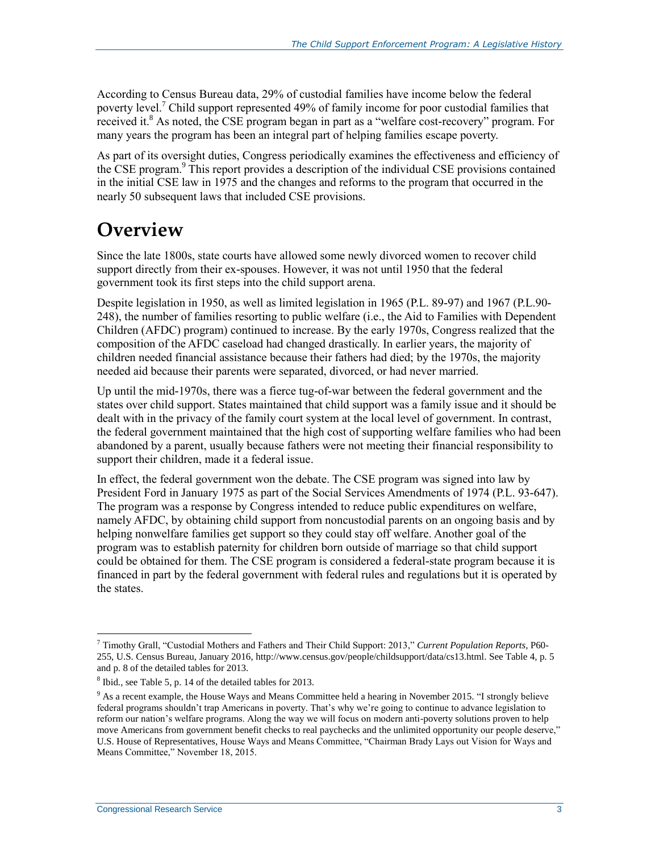According to Census Bureau data, 29% of custodial families have income below the federal poverty level.<sup>7</sup> Child support represented 49% of family income for poor custodial families that received it. $8$  As noted, the CSE program began in part as a "welfare cost-recovery" program. For many years the program has been an integral part of helping families escape poverty.

As part of its oversight duties, Congress periodically examines the effectiveness and efficiency of the CSE program.<sup>9</sup> This report provides a description of the individual CSE provisions contained in the initial CSE law in 1975 and the changes and reforms to the program that occurred in the nearly 50 subsequent laws that included CSE provisions.

## **Overview**

Since the late 1800s, state courts have allowed some newly divorced women to recover child support directly from their ex-spouses. However, it was not until 1950 that the federal government took its first steps into the child support arena.

Despite legislation in 1950, as well as limited legislation in 1965 (P.L. 89-97) and 1967 (P.L.90- 248), the number of families resorting to public welfare (i.e., the Aid to Families with Dependent Children (AFDC) program) continued to increase. By the early 1970s, Congress realized that the composition of the AFDC caseload had changed drastically. In earlier years, the majority of children needed financial assistance because their fathers had died; by the 1970s, the majority needed aid because their parents were separated, divorced, or had never married.

Up until the mid-1970s, there was a fierce tug-of-war between the federal government and the states over child support. States maintained that child support was a family issue and it should be dealt with in the privacy of the family court system at the local level of government. In contrast, the federal government maintained that the high cost of supporting welfare families who had been abandoned by a parent, usually because fathers were not meeting their financial responsibility to support their children, made it a federal issue.

In effect, the federal government won the debate. The CSE program was signed into law by President Ford in January 1975 as part of the Social Services Amendments of 1974 (P.L. 93-647). The program was a response by Congress intended to reduce public expenditures on welfare, namely AFDC, by obtaining child support from noncustodial parents on an ongoing basis and by helping nonwelfare families get support so they could stay off welfare. Another goal of the program was to establish paternity for children born outside of marriage so that child support could be obtained for them. The CSE program is considered a federal-state program because it is financed in part by the federal government with federal rules and regulations but it is operated by the states.

<sup>7</sup> Timothy Grall, "Custodial Mothers and Fathers and Their Child Support: 2013," *Current Population Reports*, P60- 255, U.S. Census Bureau, January 2016, http://www.census.gov/people/childsupport/data/cs13.html. See Table 4, p. 5 and p. 8 of the detailed tables for 2013.

 $8$  Ibid., see Table 5, p. 14 of the detailed tables for 2013.

<sup>&</sup>lt;sup>9</sup> As a recent example, the House Ways and Means Committee held a hearing in November 2015. "I strongly believe federal programs shouldn't trap Americans in poverty. That's why we're going to continue to advance legislation to reform our nation's welfare programs. Along the way we will focus on modern anti-poverty solutions proven to help move Americans from government benefit checks to real paychecks and the unlimited opportunity our people deserve," U.S. House of Representatives, House Ways and Means Committee, "Chairman Brady Lays out Vision for Ways and Means Committee," November 18, 2015.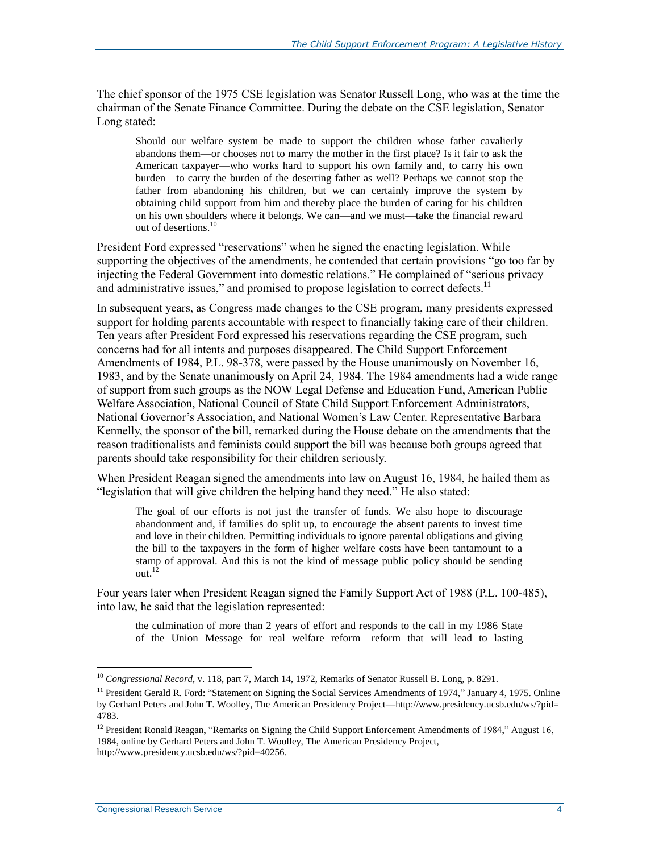The chief sponsor of the 1975 CSE legislation was Senator Russell Long, who was at the time the chairman of the Senate Finance Committee. During the debate on the CSE legislation, Senator Long stated:

Should our welfare system be made to support the children whose father cavalierly abandons them—or chooses not to marry the mother in the first place? Is it fair to ask the American taxpayer—who works hard to support his own family and, to carry his own burden—to carry the burden of the deserting father as well? Perhaps we cannot stop the father from abandoning his children, but we can certainly improve the system by obtaining child support from him and thereby place the burden of caring for his children on his own shoulders where it belongs. We can—and we must—take the financial reward out of desertions.<sup>10</sup>

President Ford expressed "reservations" when he signed the enacting legislation. While supporting the objectives of the amendments, he contended that certain provisions "go too far by injecting the Federal Government into domestic relations." He complained of "serious privacy and administrative issues," and promised to propose legislation to correct defects.<sup>11</sup>

In subsequent years, as Congress made changes to the CSE program, many presidents expressed support for holding parents accountable with respect to financially taking care of their children. Ten years after President Ford expressed his reservations regarding the CSE program, such concerns had for all intents and purposes disappeared. The Child Support Enforcement Amendments of 1984, P.L. 98-378, were passed by the House unanimously on November 16, 1983, and by the Senate unanimously on April 24, 1984. The 1984 amendments had a wide range of support from such groups as the NOW Legal Defense and Education Fund, American Public Welfare Association, National Council of State Child Support Enforcement Administrators, National Governor's Association, and National Women's Law Center. Representative Barbara Kennelly, the sponsor of the bill, remarked during the House debate on the amendments that the reason traditionalists and feminists could support the bill was because both groups agreed that parents should take responsibility for their children seriously.

When President Reagan signed the amendments into law on August 16, 1984, he hailed them as "legislation that will give children the helping hand they need." He also stated:

The goal of our efforts is not just the transfer of funds. We also hope to discourage abandonment and, if families do split up, to encourage the absent parents to invest time and love in their children. Permitting individuals to ignore parental obligations and giving the bill to the taxpayers in the form of higher welfare costs have been tantamount to a stamp of approval. And this is not the kind of message public policy should be sending out.<sup>12</sup>

Four years later when President Reagan signed the Family Support Act of 1988 (P.L. 100-485), into law, he said that the legislation represented:

the culmination of more than 2 years of effort and responds to the call in my 1986 State of the Union Message for real welfare reform—reform that will lead to lasting

<sup>10</sup> *Congressional Record*, v. 118, part 7, March 14, 1972, Remarks of Senator Russell B. Long, p. 8291.

<sup>&</sup>lt;sup>11</sup> President Gerald R. Ford: "Statement on Signing the Social Services Amendments of 1974," January 4, 1975. Online by Gerhard Peters and John T. Woolley, The American Presidency Project—http://www.presidency.ucsb.edu/ws/?pid= 4783.

<sup>&</sup>lt;sup>12</sup> President Ronald Reagan, "Remarks on Signing the Child Support Enforcement Amendments of 1984," August 16, 1984, online by Gerhard Peters and John T. Woolley, The American Presidency Project, http://www.presidency.ucsb.edu/ws/?pid=40256.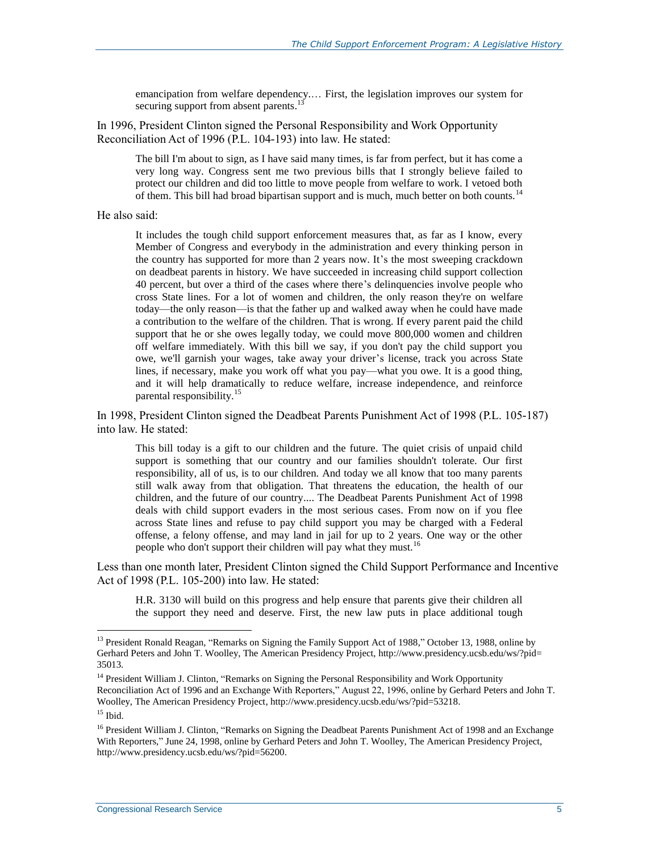emancipation from welfare dependency.… First, the legislation improves our system for securing support from absent parents.<sup>13</sup>

In 1996, President Clinton signed the Personal Responsibility and Work Opportunity Reconciliation Act of 1996 (P.L. 104-193) into law. He stated:

The bill I'm about to sign, as I have said many times, is far from perfect, but it has come a very long way. Congress sent me two previous bills that I strongly believe failed to protect our children and did too little to move people from welfare to work. I vetoed both of them. This bill had broad bipartisan support and is much, much better on both counts.<sup>14</sup>

He also said:

It includes the tough child support enforcement measures that, as far as I know, every Member of Congress and everybody in the administration and every thinking person in the country has supported for more than 2 years now. It's the most sweeping crackdown on deadbeat parents in history. We have succeeded in increasing child support collection 40 percent, but over a third of the cases where there's delinquencies involve people who cross State lines. For a lot of women and children, the only reason they're on welfare today—the only reason—is that the father up and walked away when he could have made a contribution to the welfare of the children. That is wrong. If every parent paid the child support that he or she owes legally today, we could move 800,000 women and children off welfare immediately. With this bill we say, if you don't pay the child support you owe, we'll garnish your wages, take away your driver's license, track you across State lines, if necessary, make you work off what you pay—what you owe. It is a good thing, and it will help dramatically to reduce welfare, increase independence, and reinforce parental responsibility.<sup>15</sup>

In 1998, President Clinton signed the Deadbeat Parents Punishment Act of 1998 (P.L. 105-187) into law. He stated:

This bill today is a gift to our children and the future. The quiet crisis of unpaid child support is something that our country and our families shouldn't tolerate. Our first responsibility, all of us, is to our children. And today we all know that too many parents still walk away from that obligation. That threatens the education, the health of our children, and the future of our country.... The Deadbeat Parents Punishment Act of 1998 deals with child support evaders in the most serious cases. From now on if you flee across State lines and refuse to pay child support you may be charged with a Federal offense, a felony offense, and may land in jail for up to 2 years. One way or the other people who don't support their children will pay what they must.<sup>16</sup>

Less than one month later, President Clinton signed the Child Support Performance and Incentive Act of 1998 (P.L. 105-200) into law. He stated:

H.R. 3130 will build on this progress and help ensure that parents give their children all the support they need and deserve. First, the new law puts in place additional tough

<sup>&</sup>lt;sup>13</sup> President Ronald Reagan, "Remarks on Signing the Family Support Act of 1988," October 13, 1988, online by Gerhard Peters and John T. Woolley, The American Presidency Project, http://www.presidency.ucsb.edu/ws/?pid= 35013.

<sup>&</sup>lt;sup>14</sup> President William J. Clinton, "Remarks on Signing the Personal Responsibility and Work Opportunity Reconciliation Act of 1996 and an Exchange With Reporters," August 22, 1996, online by Gerhard Peters and John T. Woolley, The American Presidency Project, http://www.presidency.ucsb.edu/ws/?pid=53218.

 $15$  Ibid.

<sup>&</sup>lt;sup>16</sup> President William J. Clinton, "Remarks on Signing the Deadbeat Parents Punishment Act of 1998 and an Exchange With Reporters," June 24, 1998, online by Gerhard Peters and John T. Woolley, The American Presidency Project, http://www.presidency.ucsb.edu/ws/?pid=56200.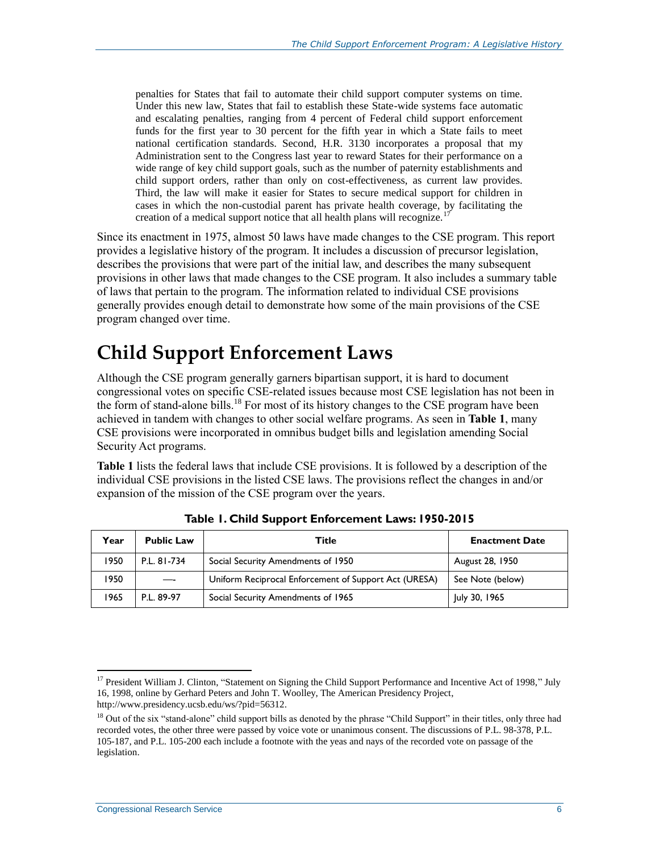penalties for States that fail to automate their child support computer systems on time. Under this new law, States that fail to establish these State-wide systems face automatic and escalating penalties, ranging from 4 percent of Federal child support enforcement funds for the first year to 30 percent for the fifth year in which a State fails to meet national certification standards. Second, H.R. 3130 incorporates a proposal that my Administration sent to the Congress last year to reward States for their performance on a wide range of key child support goals, such as the number of paternity establishments and child support orders, rather than only on cost-effectiveness, as current law provides. Third, the law will make it easier for States to secure medical support for children in cases in which the non-custodial parent has private health coverage, by facilitating the creation of a medical support notice that all health plans will recognize.<sup>17</sup>

Since its enactment in 1975, almost 50 laws have made changes to the CSE program. This report provides a legislative history of the program. It includes a discussion of precursor legislation, describes the provisions that were part of the initial law, and describes the many subsequent provisions in other laws that made changes to the CSE program. It also includes a summary table of laws that pertain to the program. The information related to individual CSE provisions generally provides enough detail to demonstrate how some of the main provisions of the CSE program changed over time.

## **Child Support Enforcement Laws**

Although the CSE program generally garners bipartisan support, it is hard to document congressional votes on specific CSE-related issues because most CSE legislation has not been in the form of stand-alone bills.<sup>18</sup> For most of its history changes to the CSE program have been achieved in tandem with changes to other social welfare programs. As seen in **[Table 1](#page-9-0)**, many CSE provisions were incorporated in omnibus budget bills and legislation amending Social Security Act programs.

**[Table 1](#page-9-0)** lists the federal laws that include CSE provisions. It is followed by a description of the individual CSE provisions in the listed CSE laws. The provisions reflect the changes in and/or expansion of the mission of the CSE program over the years.

<span id="page-9-0"></span>

| Year | <b>Public Law</b> | Title                                                 | <b>Enactment Date</b> |
|------|-------------------|-------------------------------------------------------|-----------------------|
| 1950 | P.L. 81-734       | Social Security Amendments of 1950                    | August 28, 1950       |
| 1950 |                   | Uniform Reciprocal Enforcement of Support Act (URESA) | See Note (below)      |
| 1965 | P.L. 89-97        | Social Security Amendments of 1965                    | July 30, 1965         |

**Table 1. Child Support Enforcement Laws: 1950-2015**

 $17$  President William J. Clinton, "Statement on Signing the Child Support Performance and Incentive Act of 1998," July 16, 1998, online by Gerhard Peters and John T. Woolley, The American Presidency Project, http://www.presidency.ucsb.edu/ws/?pid=56312.

<sup>&</sup>lt;sup>18</sup> Out of the six "stand-alone" child support bills as denoted by the phrase "Child Support" in their titles, only three had recorded votes, the other three were passed by voice vote or unanimous consent. The discussions of P.L. 98-378, P.L. 105-187, and P.L. 105-200 each include a footnote with the yeas and nays of the recorded vote on passage of the legislation.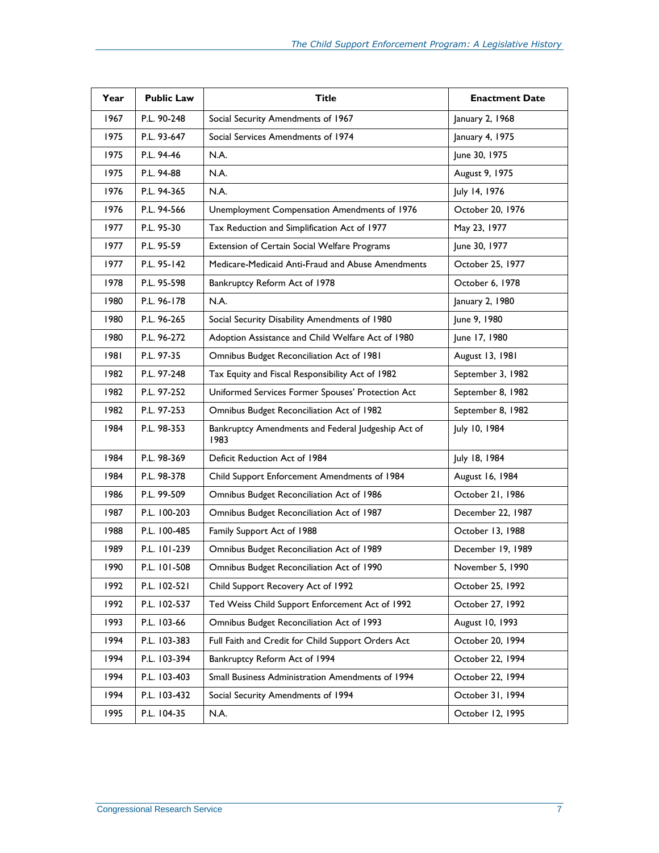| Year | <b>Public Law</b> | <b>Title</b>                                               | <b>Enactment Date</b> |
|------|-------------------|------------------------------------------------------------|-----------------------|
| 1967 | P.L. 90-248       | Social Security Amendments of 1967                         | January 2, 1968       |
| 1975 | P.L. 93-647       | Social Services Amendments of 1974                         | January 4, 1975       |
| 1975 | P.L. 94-46        | N.A.                                                       | June 30, 1975         |
| 1975 | P.L. 94-88        | N.A.                                                       | August 9, 1975        |
| 1976 | P.L. 94-365       | N.A.                                                       | July 14, 1976         |
| 1976 | P.L. 94-566       | Unemployment Compensation Amendments of 1976               | October 20, 1976      |
| 1977 | P.L. 95-30        | Tax Reduction and Simplification Act of 1977               | May 23, 1977          |
| 1977 | P.L. 95-59        | <b>Extension of Certain Social Welfare Programs</b>        | June 30, 1977         |
| 1977 | P.L. 95-142       | Medicare-Medicaid Anti-Fraud and Abuse Amendments          | October 25, 1977      |
| 1978 | P.L. 95-598       | Bankruptcy Reform Act of 1978                              | October 6, 1978       |
| 1980 | P.L. 96-178       | N.A.                                                       | January 2, 1980       |
| 1980 | P.L. 96-265       | Social Security Disability Amendments of 1980              | June 9, 1980          |
| 1980 | P.L. 96-272       | Adoption Assistance and Child Welfare Act of 1980          | June 17, 1980         |
| 1981 | P.L. 97-35        | Omnibus Budget Reconciliation Act of 1981                  | August 13, 1981       |
| 1982 | P.L. 97-248       | Tax Equity and Fiscal Responsibility Act of 1982           | September 3, 1982     |
| 1982 | P.L. 97-252       | Uniformed Services Former Spouses' Protection Act          | September 8, 1982     |
| 1982 | P.L. 97-253       | Omnibus Budget Reconciliation Act of 1982                  | September 8, 1982     |
| 1984 | P.L. 98-353       | Bankruptcy Amendments and Federal Judgeship Act of<br>1983 | July 10, 1984         |
| 1984 | P.L. 98-369       | Deficit Reduction Act of 1984                              | July 18, 1984         |
| 1984 | P.L. 98-378       | Child Support Enforcement Amendments of 1984               | August 16, 1984       |
| 1986 | P.L. 99-509       | Omnibus Budget Reconciliation Act of 1986                  | October 21, 1986      |
| 1987 | P.L. 100-203      | Omnibus Budget Reconciliation Act of 1987                  | December 22, 1987     |
| 1988 | P.L. 100-485      | Family Support Act of 1988                                 | October 13, 1988      |
| 1989 | P.L. 101-239      | Omnibus Budget Reconciliation Act of 1989                  | December 19, 1989     |
| 1990 | P.L. 101-508      | Omnibus Budget Reconciliation Act of 1990                  | November 5, 1990      |
| 1992 | P.L. 102-521      | Child Support Recovery Act of 1992                         | October 25, 1992      |
| 1992 | P.L. 102-537      | Ted Weiss Child Support Enforcement Act of 1992            | October 27, 1992      |
| 1993 | P.L. 103-66       | Omnibus Budget Reconciliation Act of 1993                  | August 10, 1993       |
| 1994 | P.L. 103-383      | Full Faith and Credit for Child Support Orders Act         | October 20, 1994      |
| 1994 | P.L. 103-394      | Bankruptcy Reform Act of 1994                              | October 22, 1994      |
| 1994 | P.L. 103-403      | Small Business Administration Amendments of 1994           | October 22, 1994      |
| 1994 | P.L. 103-432      | Social Security Amendments of 1994                         | October 31, 1994      |
| 1995 | P.L. 104-35       | N.A.                                                       | October 12, 1995      |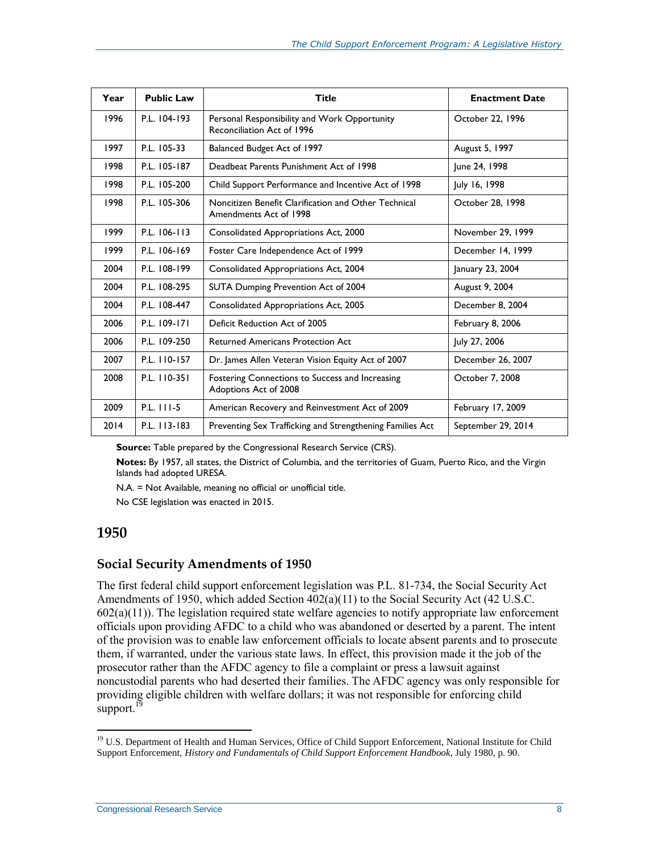| Year | <b>Public Law</b> | Title                                                                          | <b>Enactment Date</b> |
|------|-------------------|--------------------------------------------------------------------------------|-----------------------|
| 1996 | P.L. 104-193      | Personal Responsibility and Work Opportunity<br>Reconciliation Act of 1996     | October 22, 1996      |
| 1997 | P.L. 105-33       | Balanced Budget Act of 1997                                                    | August 5, 1997        |
| 1998 | P.L. 105-187      | Deadbeat Parents Punishment Act of 1998                                        | June 24, 1998         |
| 1998 | P.L. 105-200      | Child Support Performance and Incentive Act of 1998                            | July 16, 1998         |
| 1998 | P.L. 105-306      | Noncitizen Benefit Clarification and Other Technical<br>Amendments Act of 1998 | October 28, 1998      |
| 1999 | P.L. 106-113      | Consolidated Appropriations Act, 2000                                          | November 29, 1999     |
| 1999 | P.L. 106-169      | Foster Care Independence Act of 1999                                           | December 14, 1999     |
| 2004 | P.L. 108-199      | Consolidated Appropriations Act, 2004                                          | January 23, 2004      |
| 2004 | P.L. 108-295      | SUTA Dumping Prevention Act of 2004                                            | August 9, 2004        |
| 2004 | P.L. 108-447      | Consolidated Appropriations Act, 2005                                          | December 8, 2004      |
| 2006 | P.L. 109-171      | Deficit Reduction Act of 2005                                                  | February 8, 2006      |
| 2006 | P.L. 109-250      | <b>Returned Americans Protection Act</b>                                       | July 27, 2006         |
| 2007 | P.L. 110-157      | Dr. James Allen Veteran Vision Equity Act of 2007                              | December 26, 2007     |
| 2008 | P.L. 110-351      | Fostering Connections to Success and Increasing<br>Adoptions Act of 2008       | October 7, 2008       |
| 2009 | P.L. 111-5        | American Recovery and Reinvestment Act of 2009                                 | February 17, 2009     |
| 2014 | P.L. 113-183      | Preventing Sex Trafficking and Strengthening Families Act                      | September 29, 2014    |

**Source:** Table prepared by the Congressional Research Service (CRS).

**Notes:** By 1957, all states, the District of Columbia, and the territories of Guam, Puerto Rico, and the Virgin Islands had adopted URESA.

N.A. = Not Available, meaning no official or unofficial title.

No CSE legislation was enacted in 2015.

#### **1950**

 $\overline{a}$ 

#### **Social Security Amendments of 1950**

The first federal child support enforcement legislation was P.L. 81-734, the Social Security Act Amendments of 1950, which added Section  $402(a)(11)$  to the Social Security Act (42 U.S.C.  $602(a)(11)$ ). The legislation required state welfare agencies to notify appropriate law enforcement officials upon providing AFDC to a child who was abandoned or deserted by a parent. The intent of the provision was to enable law enforcement officials to locate absent parents and to prosecute them, if warranted, under the various state laws. In effect, this provision made it the job of the prosecutor rather than the AFDC agency to file a complaint or press a lawsuit against noncustodial parents who had deserted their families. The AFDC agency was only responsible for providing eligible children with welfare dollars; it was not responsible for enforcing child support.<sup>19</sup>

<sup>&</sup>lt;sup>19</sup> U.S. Department of Health and Human Services, Office of Child Support Enforcement, National Institute for Child Support Enforcement, *History and Fundamentals of Child Support Enforcement Handbook*, July 1980, p. 90.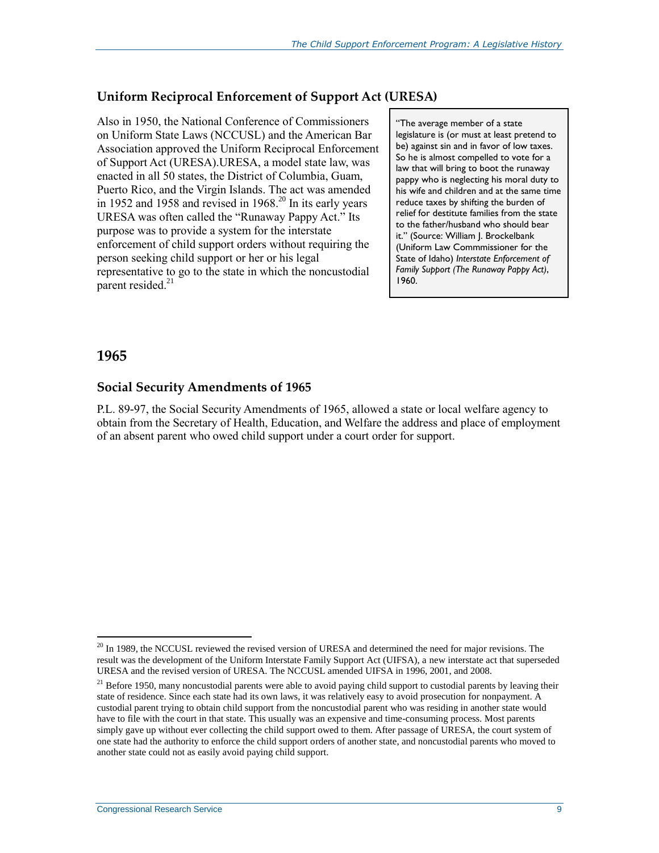#### **Uniform Reciprocal Enforcement of Support Act (URESA)**

Also in 1950, the National Conference of Commissioners on Uniform State Laws (NCCUSL) and the American Bar Association approved the Uniform Reciprocal Enforcement of Support Act (URESA).URESA, a model state law, was enacted in all 50 states, the District of Columbia, Guam, Puerto Rico, and the Virgin Islands. The act was amended in 1952 and 1958 and revised in  $1968$ <sup>20</sup> In its early years URESA was often called the "Runaway Pappy Act." Its purpose was to provide a system for the interstate enforcement of child support orders without requiring the person seeking child support or her or his legal representative to go to the state in which the noncustodial parent resided.<sup>21</sup>

"The average member of a state legislature is (or must at least pretend to be) against sin and in favor of low taxes. So he is almost compelled to vote for a law that will bring to boot the runaway pappy who is neglecting his moral duty to his wife and children and at the same time reduce taxes by shifting the burden of relief for destitute families from the state to the father/husband who should bear it." (Source: William J. Brockelbank (Uniform Law Commmissioner for the State of Idaho) *Interstate Enforcement of Family Support (The Runaway Pappy Act)*, 1960.

#### **1965**

 $\overline{a}$ 

#### **Social Security Amendments of 1965**

P.L. 89-97, the Social Security Amendments of 1965, allowed a state or local welfare agency to obtain from the Secretary of Health, Education, and Welfare the address and place of employment of an absent parent who owed child support under a court order for support.

<sup>&</sup>lt;sup>20</sup> In 1989, the NCCUSL reviewed the revised version of URESA and determined the need for major revisions. The result was the development of the Uniform Interstate Family Support Act (UIFSA), a new interstate act that superseded URESA and the revised version of URESA. The NCCUSL amended UIFSA in 1996, 2001, and 2008.

 $21$  Before 1950, many noncustodial parents were able to avoid paying child support to custodial parents by leaving their state of residence. Since each state had its own laws, it was relatively easy to avoid prosecution for nonpayment. A custodial parent trying to obtain child support from the noncustodial parent who was residing in another state would have to file with the court in that state. This usually was an expensive and time-consuming process. Most parents simply gave up without ever collecting the child support owed to them. After passage of URESA, the court system of one state had the authority to enforce the child support orders of another state, and noncustodial parents who moved to another state could not as easily avoid paying child support.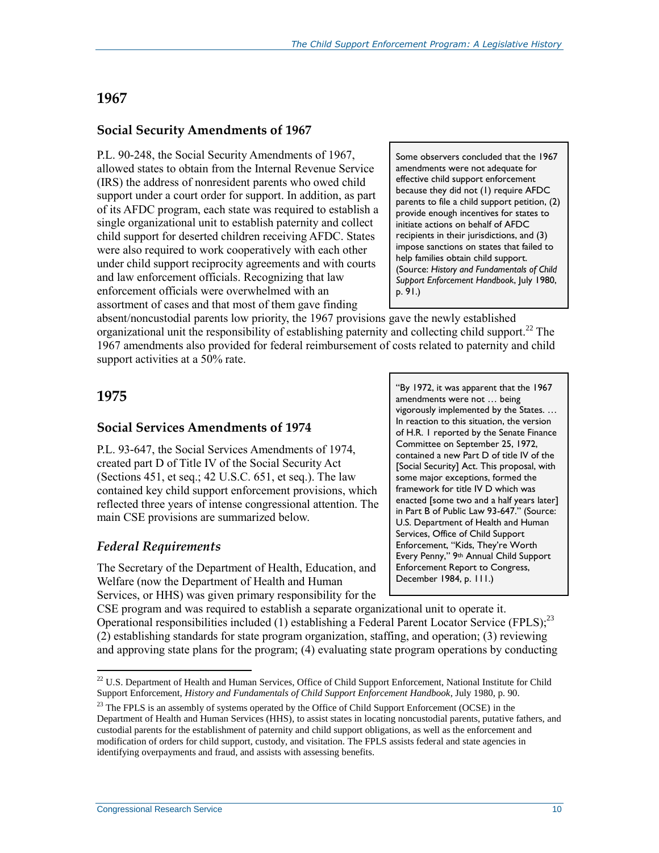#### **1967**

#### **Social Security Amendments of 1967**

P.L. 90-248, the Social Security Amendments of 1967, allowed states to obtain from the Internal Revenue Service (IRS) the address of nonresident parents who owed child support under a court order for support. In addition, as part of its AFDC program, each state was required to establish a single organizational unit to establish paternity and collect child support for deserted children receiving AFDC. States were also required to work cooperatively with each other under child support reciprocity agreements and with courts and law enforcement officials. Recognizing that law enforcement officials were overwhelmed with an assortment of cases and that most of them gave finding

Some observers concluded that the 1967 amendments were not adequate for effective child support enforcement because they did not (1) require AFDC parents to file a child support petition, (2) provide enough incentives for states to initiate actions on behalf of AFDC recipients in their jurisdictions, and (3) impose sanctions on states that failed to help families obtain child support. (Source: *History and Fundamentals of Child Support Enforcement Handbook*, July 1980, p. 91.)

absent/noncustodial parents low priority, the 1967 provisions gave the newly established organizational unit the responsibility of establishing paternity and collecting child support.<sup>22</sup> The 1967 amendments also provided for federal reimbursement of costs related to paternity and child support activities at a 50% rate.

#### **1975**

 $\overline{a}$ 

#### **Social Services Amendments of 1974**

P.L. 93-647, the Social Services Amendments of 1974, created part D of Title IV of the Social Security Act (Sections 451, et seq.; 42 U.S.C. 651, et seq.). The law contained key child support enforcement provisions, which reflected three years of intense congressional attention. The main CSE provisions are summarized below.

#### *Federal Requirements*

The Secretary of the Department of Health, Education, and Welfare (now the Department of Health and Human Services, or HHS) was given primary responsibility for the

"By 1972, it was apparent that the 1967 amendments were not … being vigorously implemented by the States. … In reaction to this situation, the version of H.R. 1 reported by the Senate Finance Committee on September 25, 1972, contained a new Part D of title IV of the [Social Security] Act. This proposal, with some major exceptions, formed the framework for title IV D which was enacted [some two and a half years later] in Part B of Public Law 93-647." (Source: U.S. Department of Health and Human Services, Office of Child Support Enforcement, "Kids, They're Worth Every Penny," 9th Annual Child Support Enforcement Report to Congress, December 1984, p. 111.)

CSE program and was required to establish a separate organizational unit to operate it. Operational responsibilities included (1) establishing a Federal Parent Locator Service (FPLS);<sup>23</sup> (2) establishing standards for state program organization, staffing, and operation; (3) reviewing and approving state plans for the program; (4) evaluating state program operations by conducting

 $22$  U.S. Department of Health and Human Services, Office of Child Support Enforcement, National Institute for Child Support Enforcement, *History and Fundamentals of Child Support Enforcement Handbook*, July 1980, p. 90.

 $^{23}$  The FPLS is an assembly of systems operated by the Office of Child Support Enforcement (OCSE) in the Department of Health and Human Services (HHS), to assist states in locating noncustodial parents, putative fathers, and custodial parents for the establishment of paternity and child support obligations, as well as the enforcement and modification of orders for child support, custody, and visitation. The FPLS assists federal and state agencies in identifying overpayments and fraud, and assists with assessing benefits.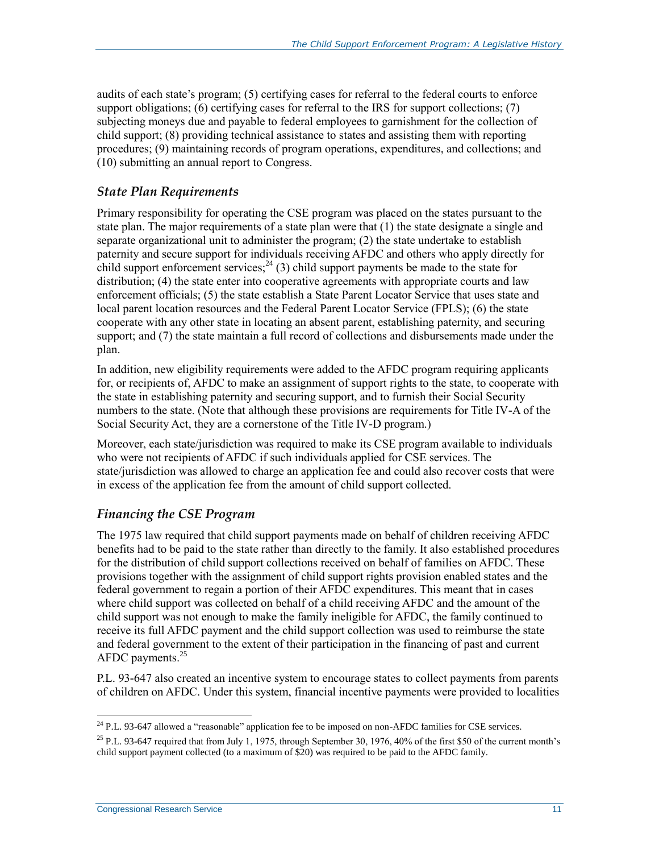audits of each state's program; (5) certifying cases for referral to the federal courts to enforce support obligations; (6) certifying cases for referral to the IRS for support collections; (7) subjecting moneys due and payable to federal employees to garnishment for the collection of child support; (8) providing technical assistance to states and assisting them with reporting procedures; (9) maintaining records of program operations, expenditures, and collections; and (10) submitting an annual report to Congress.

#### *State Plan Requirements*

Primary responsibility for operating the CSE program was placed on the states pursuant to the state plan. The major requirements of a state plan were that (1) the state designate a single and separate organizational unit to administer the program; (2) the state undertake to establish paternity and secure support for individuals receiving AFDC and others who apply directly for child support enforcement services;  $^{24}$  (3) child support payments be made to the state for distribution; (4) the state enter into cooperative agreements with appropriate courts and law enforcement officials; (5) the state establish a State Parent Locator Service that uses state and local parent location resources and the Federal Parent Locator Service (FPLS); (6) the state cooperate with any other state in locating an absent parent, establishing paternity, and securing support; and (7) the state maintain a full record of collections and disbursements made under the plan.

In addition, new eligibility requirements were added to the AFDC program requiring applicants for, or recipients of, AFDC to make an assignment of support rights to the state, to cooperate with the state in establishing paternity and securing support, and to furnish their Social Security numbers to the state. (Note that although these provisions are requirements for Title IV-A of the Social Security Act, they are a cornerstone of the Title IV-D program.)

Moreover, each state/jurisdiction was required to make its CSE program available to individuals who were not recipients of AFDC if such individuals applied for CSE services. The state/jurisdiction was allowed to charge an application fee and could also recover costs that were in excess of the application fee from the amount of child support collected.

#### *Financing the CSE Program*

The 1975 law required that child support payments made on behalf of children receiving AFDC benefits had to be paid to the state rather than directly to the family. It also established procedures for the distribution of child support collections received on behalf of families on AFDC. These provisions together with the assignment of child support rights provision enabled states and the federal government to regain a portion of their AFDC expenditures. This meant that in cases where child support was collected on behalf of a child receiving AFDC and the amount of the child support was not enough to make the family ineligible for AFDC, the family continued to receive its full AFDC payment and the child support collection was used to reimburse the state and federal government to the extent of their participation in the financing of past and current AFDC payments.<sup>25</sup>

P.L. 93-647 also created an incentive system to encourage states to collect payments from parents of children on AFDC. Under this system, financial incentive payments were provided to localities

 $\overline{a}$ <sup>24</sup> P.L. 93-647 allowed a "reasonable" application fee to be imposed on non-AFDC families for CSE services.

 $25$  P.L. 93-647 required that from July 1, 1975, through September 30, 1976, 40% of the first \$50 of the current month's child support payment collected (to a maximum of \$20) was required to be paid to the AFDC family.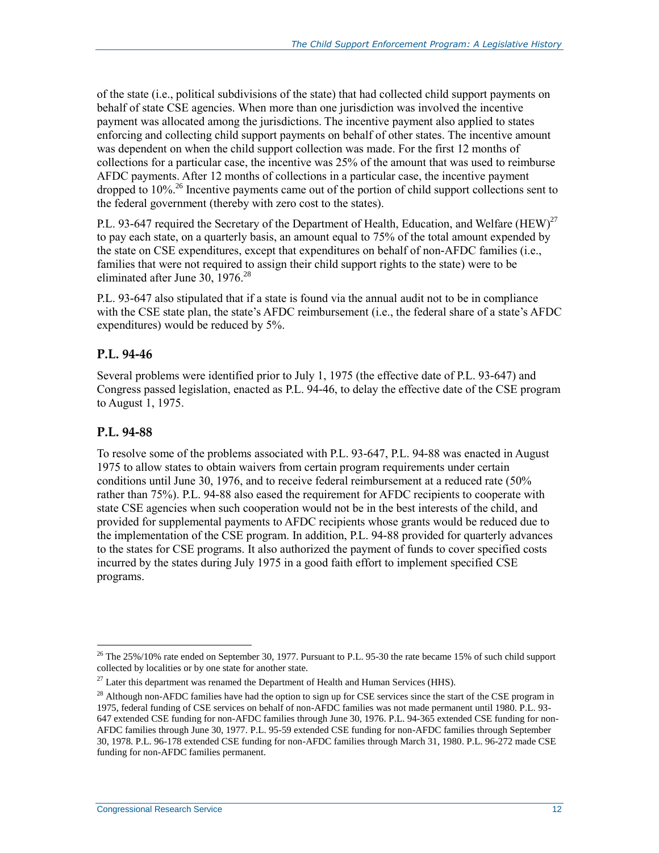of the state (i.e., political subdivisions of the state) that had collected child support payments on behalf of state CSE agencies. When more than one jurisdiction was involved the incentive payment was allocated among the jurisdictions. The incentive payment also applied to states enforcing and collecting child support payments on behalf of other states. The incentive amount was dependent on when the child support collection was made. For the first 12 months of collections for a particular case, the incentive was 25% of the amount that was used to reimburse AFDC payments. After 12 months of collections in a particular case, the incentive payment dropped to  $10\%$ <sup>26</sup> Incentive payments came out of the portion of child support collections sent to the federal government (thereby with zero cost to the states).

P.L. 93-647 required the Secretary of the Department of Health, Education, and Welfare (HEW)<sup>27</sup> to pay each state, on a quarterly basis, an amount equal to 75% of the total amount expended by the state on CSE expenditures, except that expenditures on behalf of non-AFDC families (i.e., families that were not required to assign their child support rights to the state) were to be eliminated after June 30, 1976.<sup>28</sup>

P.L. 93-647 also stipulated that if a state is found via the annual audit not to be in compliance with the CSE state plan, the state's AFDC reimbursement (i.e., the federal share of a state's AFDC expenditures) would be reduced by 5%.

#### **P.L. 94-46**

Several problems were identified prior to July 1, 1975 (the effective date of P.L. 93-647) and Congress passed legislation, enacted as P.L. 94-46, to delay the effective date of the CSE program to August 1, 1975.

#### **P.L. 94-88**

 $\overline{a}$ 

To resolve some of the problems associated with P.L. 93-647, P.L. 94-88 was enacted in August 1975 to allow states to obtain waivers from certain program requirements under certain conditions until June 30, 1976, and to receive federal reimbursement at a reduced rate (50% rather than 75%). P.L. 94-88 also eased the requirement for AFDC recipients to cooperate with state CSE agencies when such cooperation would not be in the best interests of the child, and provided for supplemental payments to AFDC recipients whose grants would be reduced due to the implementation of the CSE program. In addition, P.L. 94-88 provided for quarterly advances to the states for CSE programs. It also authorized the payment of funds to cover specified costs incurred by the states during July 1975 in a good faith effort to implement specified CSE programs.

<sup>&</sup>lt;sup>26</sup> The 25%/10% rate ended on September 30, 1977. Pursuant to P.L. 95-30 the rate became 15% of such child support collected by localities or by one state for another state.

 $27$  Later this department was renamed the Department of Health and Human Services (HHS).

 $^{28}$  Although non-AFDC families have had the option to sign up for CSE services since the start of the CSE program in 1975, federal funding of CSE services on behalf of non-AFDC families was not made permanent until 1980. P.L. 93- 647 extended CSE funding for non-AFDC families through June 30, 1976. P.L. 94-365 extended CSE funding for non-AFDC families through June 30, 1977. P.L. 95-59 extended CSE funding for non-AFDC families through September 30, 1978. P.L. 96-178 extended CSE funding for non-AFDC families through March 31, 1980. P.L. 96-272 made CSE funding for non-AFDC families permanent.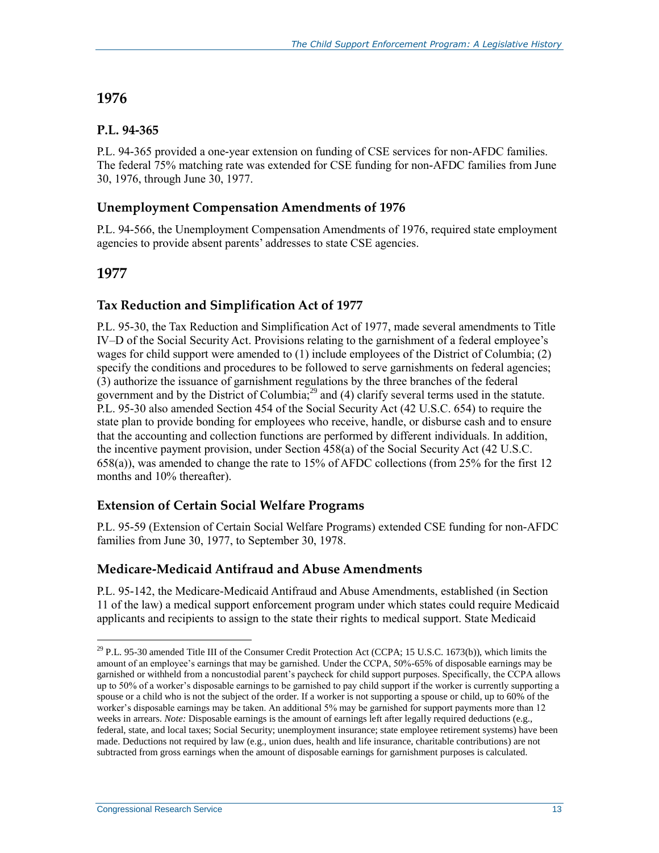#### **1976**

#### **P.L. 94-365**

P.L. 94-365 provided a one-year extension on funding of CSE services for non-AFDC families. The federal 75% matching rate was extended for CSE funding for non-AFDC families from June 30, 1976, through June 30, 1977.

#### **Unemployment Compensation Amendments of 1976**

P.L. 94-566, the Unemployment Compensation Amendments of 1976, required state employment agencies to provide absent parents' addresses to state CSE agencies.

#### **1977**

 $\overline{a}$ 

#### **Tax Reduction and Simplification Act of 1977**

P.L. 95-30, the Tax Reduction and Simplification Act of 1977, made several amendments to Title IV–D of the Social Security Act. Provisions relating to the garnishment of a federal employee's wages for child support were amended to (1) include employees of the District of Columbia; (2) specify the conditions and procedures to be followed to serve garnishments on federal agencies; (3) authorize the issuance of garnishment regulations by the three branches of the federal government and by the District of Columbia,<sup>29</sup> and (4) clarify several terms used in the statute. P.L. 95-30 also amended Section 454 of the Social Security Act (42 U.S.C. 654) to require the state plan to provide bonding for employees who receive, handle, or disburse cash and to ensure that the accounting and collection functions are performed by different individuals. In addition, the incentive payment provision, under Section 458(a) of the Social Security Act (42 U.S.C. 658(a)), was amended to change the rate to 15% of AFDC collections (from 25% for the first 12 months and 10% thereafter).

#### **Extension of Certain Social Welfare Programs**

P.L. 95-59 (Extension of Certain Social Welfare Programs) extended CSE funding for non-AFDC families from June 30, 1977, to September 30, 1978.

#### **Medicare-Medicaid Antifraud and Abuse Amendments**

P.L. 95-142, the Medicare-Medicaid Antifraud and Abuse Amendments, established (in Section 11 of the law) a medical support enforcement program under which states could require Medicaid applicants and recipients to assign to the state their rights to medical support. State Medicaid

<sup>&</sup>lt;sup>29</sup> P.L. 95-30 amended Title III of the Consumer Credit Protection Act (CCPA; 15 U.S.C. 1673(b)), which limits the amount of an employee's earnings that may be garnished. Under the CCPA, 50%-65% of disposable earnings may be garnished or withheld from a noncustodial parent's paycheck for child support purposes. Specifically, the CCPA allows up to 50% of a worker's disposable earnings to be garnished to pay child support if the worker is currently supporting a spouse or a child who is not the subject of the order. If a worker is not supporting a spouse or child, up to 60% of the worker's disposable earnings may be taken. An additional 5% may be garnished for support payments more than 12 weeks in arrears. *Note:* Disposable earnings is the amount of earnings left after legally required deductions (e.g., federal, state, and local taxes; Social Security; unemployment insurance; state employee retirement systems) have been made. Deductions not required by law (e.g., union dues, health and life insurance, charitable contributions) are not subtracted from gross earnings when the amount of disposable earnings for garnishment purposes is calculated.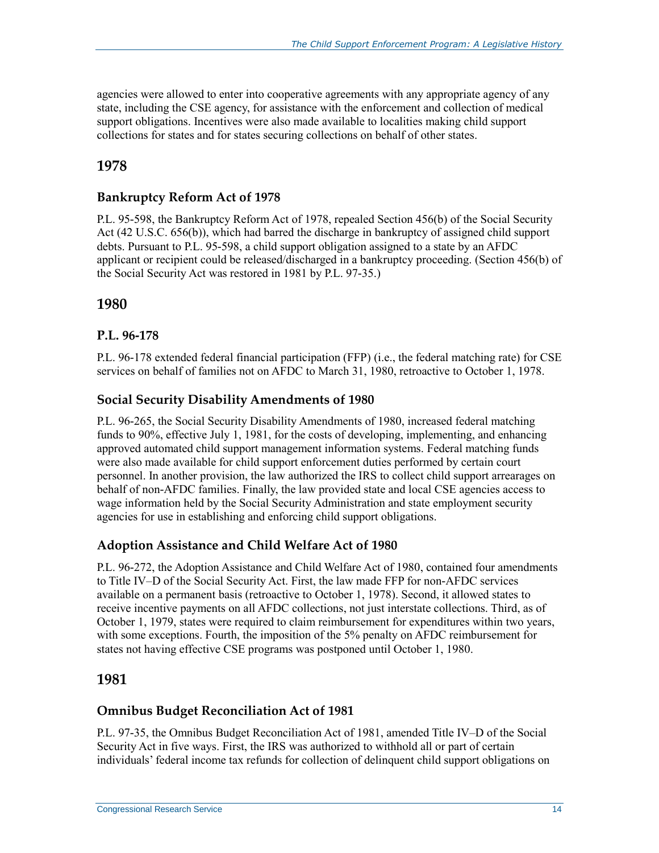agencies were allowed to enter into cooperative agreements with any appropriate agency of any state, including the CSE agency, for assistance with the enforcement and collection of medical support obligations. Incentives were also made available to localities making child support collections for states and for states securing collections on behalf of other states.

### **1978**

#### **Bankruptcy Reform Act of 1978**

P.L. 95-598, the Bankruptcy Reform Act of 1978, repealed Section 456(b) of the Social Security Act (42 U.S.C. 656(b)), which had barred the discharge in bankruptcy of assigned child support debts. Pursuant to P.L. 95-598, a child support obligation assigned to a state by an AFDC applicant or recipient could be released/discharged in a bankruptcy proceeding. (Section 456(b) of the Social Security Act was restored in 1981 by P.L. 97-35.)

#### **1980**

#### **P.L. 96-178**

P.L. 96-178 extended federal financial participation (FFP) (i.e., the federal matching rate) for CSE services on behalf of families not on AFDC to March 31, 1980, retroactive to October 1, 1978.

#### **Social Security Disability Amendments of 1980**

P.L. 96-265, the Social Security Disability Amendments of 1980, increased federal matching funds to 90%, effective July 1, 1981, for the costs of developing, implementing, and enhancing approved automated child support management information systems. Federal matching funds were also made available for child support enforcement duties performed by certain court personnel. In another provision, the law authorized the IRS to collect child support arrearages on behalf of non-AFDC families. Finally, the law provided state and local CSE agencies access to wage information held by the Social Security Administration and state employment security agencies for use in establishing and enforcing child support obligations.

#### **Adoption Assistance and Child Welfare Act of 1980**

P.L. 96-272, the Adoption Assistance and Child Welfare Act of 1980, contained four amendments to Title IV–D of the Social Security Act. First, the law made FFP for non-AFDC services available on a permanent basis (retroactive to October 1, 1978). Second, it allowed states to receive incentive payments on all AFDC collections, not just interstate collections. Third, as of October 1, 1979, states were required to claim reimbursement for expenditures within two years, with some exceptions. Fourth, the imposition of the 5% penalty on AFDC reimbursement for states not having effective CSE programs was postponed until October 1, 1980.

#### **1981**

#### **Omnibus Budget Reconciliation Act of 1981**

P.L. 97-35, the Omnibus Budget Reconciliation Act of 1981, amended Title IV–D of the Social Security Act in five ways. First, the IRS was authorized to withhold all or part of certain individuals' federal income tax refunds for collection of delinquent child support obligations on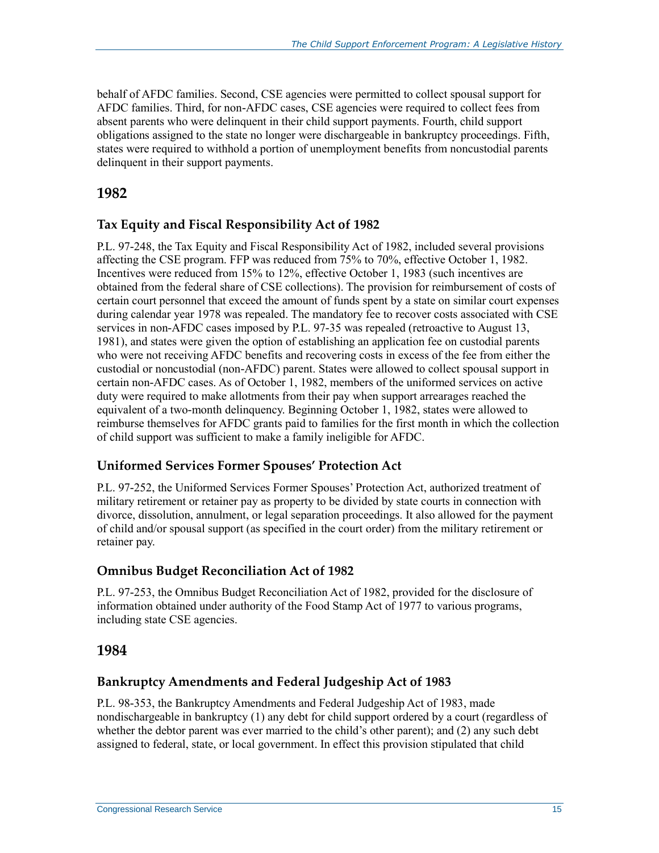behalf of AFDC families. Second, CSE agencies were permitted to collect spousal support for AFDC families. Third, for non-AFDC cases, CSE agencies were required to collect fees from absent parents who were delinquent in their child support payments. Fourth, child support obligations assigned to the state no longer were dischargeable in bankruptcy proceedings. Fifth, states were required to withhold a portion of unemployment benefits from noncustodial parents delinquent in their support payments.

#### **1982**

#### **Tax Equity and Fiscal Responsibility Act of 1982**

P.L. 97-248, the Tax Equity and Fiscal Responsibility Act of 1982, included several provisions affecting the CSE program. FFP was reduced from 75% to 70%, effective October 1, 1982. Incentives were reduced from 15% to 12%, effective October 1, 1983 (such incentives are obtained from the federal share of CSE collections). The provision for reimbursement of costs of certain court personnel that exceed the amount of funds spent by a state on similar court expenses during calendar year 1978 was repealed. The mandatory fee to recover costs associated with CSE services in non-AFDC cases imposed by P.L. 97-35 was repealed (retroactive to August 13, 1981), and states were given the option of establishing an application fee on custodial parents who were not receiving AFDC benefits and recovering costs in excess of the fee from either the custodial or noncustodial (non-AFDC) parent. States were allowed to collect spousal support in certain non-AFDC cases. As of October 1, 1982, members of the uniformed services on active duty were required to make allotments from their pay when support arrearages reached the equivalent of a two-month delinquency. Beginning October 1, 1982, states were allowed to reimburse themselves for AFDC grants paid to families for the first month in which the collection of child support was sufficient to make a family ineligible for AFDC.

#### **Uniformed Services Former Spouses' Protection Act**

P.L. 97-252, the Uniformed Services Former Spouses' Protection Act, authorized treatment of military retirement or retainer pay as property to be divided by state courts in connection with divorce, dissolution, annulment, or legal separation proceedings. It also allowed for the payment of child and/or spousal support (as specified in the court order) from the military retirement or retainer pay.

#### **Omnibus Budget Reconciliation Act of 1982**

P.L. 97-253, the Omnibus Budget Reconciliation Act of 1982, provided for the disclosure of information obtained under authority of the Food Stamp Act of 1977 to various programs, including state CSE agencies.

#### **1984**

#### **Bankruptcy Amendments and Federal Judgeship Act of 1983**

P.L. 98-353, the Bankruptcy Amendments and Federal Judgeship Act of 1983, made nondischargeable in bankruptcy (1) any debt for child support ordered by a court (regardless of whether the debtor parent was ever married to the child's other parent); and (2) any such debt assigned to federal, state, or local government. In effect this provision stipulated that child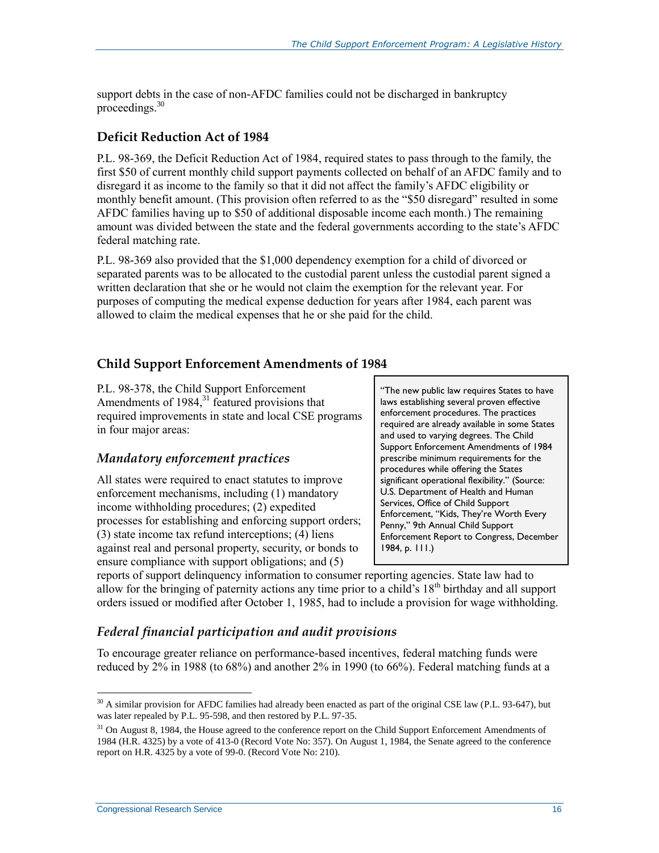support debts in the case of non-AFDC families could not be discharged in bankruptcy proceedings. 30

#### **Deficit Reduction Act of 1984**

P.L. 98-369, the Deficit Reduction Act of 1984, required states to pass through to the family, the first \$50 of current monthly child support payments collected on behalf of an AFDC family and to disregard it as income to the family so that it did not affect the family's AFDC eligibility or monthly benefit amount. (This provision often referred to as the "\$50 disregard" resulted in some AFDC families having up to \$50 of additional disposable income each month.) The remaining amount was divided between the state and the federal governments according to the state's AFDC federal matching rate.

P.L. 98-369 also provided that the \$1,000 dependency exemption for a child of divorced or separated parents was to be allocated to the custodial parent unless the custodial parent signed a written declaration that she or he would not claim the exemption for the relevant year. For purposes of computing the medical expense deduction for years after 1984, each parent was allowed to claim the medical expenses that he or she paid for the child.

#### **Child Support Enforcement Amendments of 1984**

P.L. 98-378, the Child Support Enforcement Amendments of  $1984$ ,<sup>31</sup> featured provisions that required improvements in state and local CSE programs in four major areas:

#### *Mandatory enforcement practices*

All states were required to enact statutes to improve enforcement mechanisms, including (1) mandatory income withholding procedures; (2) expedited processes for establishing and enforcing support orders; (3) state income tax refund interceptions; (4) liens against real and personal property, security, or bonds to ensure compliance with support obligations; and (5)

"The new public law requires States to have laws establishing several proven effective enforcement procedures. The practices required are already available in some States and used to varying degrees. The Child Support Enforcement Amendments of 1984 prescribe minimum requirements for the procedures while offering the States significant operational flexibility." (Source: U.S. Department of Health and Human Services, Office of Child Support Enforcement, "Kids, They're Worth Every Penny," 9th Annual Child Support Enforcement Report to Congress, December 1984, p. 111.)

reports of support delinquency information to consumer reporting agencies. State law had to allow for the bringing of paternity actions any time prior to a child's 18th birthday and all support orders issued or modified after October 1, 1985, had to include a provision for wage withholding.

#### *Federal financial participation and audit provisions*

To encourage greater reliance on performance-based incentives, federal matching funds were reduced by 2% in 1988 (to 68%) and another 2% in 1990 (to 66%). Federal matching funds at a

 $\overline{a}$ <sup>30</sup> A similar provision for AFDC families had already been enacted as part of the original CSE law (P.L. 93-647), but was later repealed by P.L. 95-598, and then restored by P.L. 97-35.

<sup>&</sup>lt;sup>31</sup> On August 8, 1984, the House agreed to the conference report on the Child Support Enforcement Amendments of 1984 (H.R. 4325) by a vote of 413-0 (Record Vote No: 357). On August 1, 1984, the Senate agreed to the conference report on H.R. 4325 by a vote of 99-0. (Record Vote No: 210).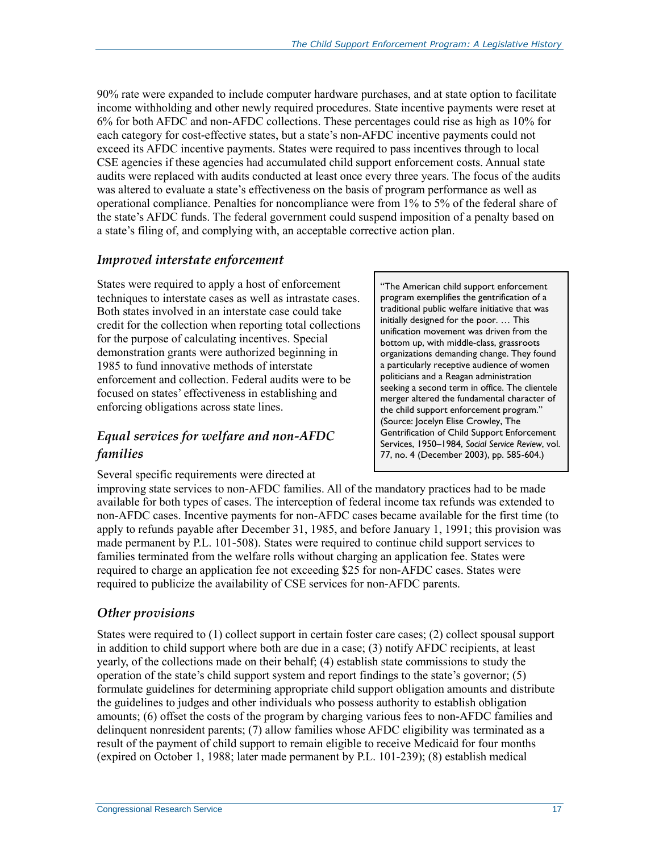90% rate were expanded to include computer hardware purchases, and at state option to facilitate income withholding and other newly required procedures. State incentive payments were reset at 6% for both AFDC and non-AFDC collections. These percentages could rise as high as 10% for each category for cost-effective states, but a state's non-AFDC incentive payments could not exceed its AFDC incentive payments. States were required to pass incentives through to local CSE agencies if these agencies had accumulated child support enforcement costs. Annual state audits were replaced with audits conducted at least once every three years. The focus of the audits was altered to evaluate a state's effectiveness on the basis of program performance as well as operational compliance. Penalties for noncompliance were from 1% to 5% of the federal share of the state's AFDC funds. The federal government could suspend imposition of a penalty based on a state's filing of, and complying with, an acceptable corrective action plan.

#### *Improved interstate enforcement*

States were required to apply a host of enforcement techniques to interstate cases as well as intrastate cases. Both states involved in an interstate case could take credit for the collection when reporting total collections for the purpose of calculating incentives. Special demonstration grants were authorized beginning in 1985 to fund innovative methods of interstate enforcement and collection. Federal audits were to be focused on states' effectiveness in establishing and enforcing obligations across state lines.

#### *Equal services for welfare and non-AFDC families*

Several specific requirements were directed at

"The American child support enforcement program exemplifies the gentrification of a traditional public welfare initiative that was initially designed for the poor. … This unification movement was driven from the bottom up, with middle-class, grassroots organizations demanding change. They found a particularly receptive audience of women politicians and a Reagan administration seeking a second term in office. The clientele merger altered the fundamental character of the child support enforcement program." (Source: Jocelyn Elise Crowley, The Gentrification of Child Support Enforcement Services, 1950–1984, *Social Service Review*, vol. 77, no. 4 (December 2003), pp. 585-604.)

improving state services to non-AFDC families. All of the mandatory practices had to be made available for both types of cases. The interception of federal income tax refunds was extended to non-AFDC cases. Incentive payments for non-AFDC cases became available for the first time (to apply to refunds payable after December 31, 1985, and before January 1, 1991; this provision was made permanent by P.L. 101-508). States were required to continue child support services to families terminated from the welfare rolls without charging an application fee. States were required to charge an application fee not exceeding \$25 for non-AFDC cases. States were required to publicize the availability of CSE services for non-AFDC parents.

#### *Other provisions*

States were required to (1) collect support in certain foster care cases; (2) collect spousal support in addition to child support where both are due in a case; (3) notify AFDC recipients, at least yearly, of the collections made on their behalf; (4) establish state commissions to study the operation of the state's child support system and report findings to the state's governor; (5) formulate guidelines for determining appropriate child support obligation amounts and distribute the guidelines to judges and other individuals who possess authority to establish obligation amounts; (6) offset the costs of the program by charging various fees to non-AFDC families and delinquent nonresident parents; (7) allow families whose AFDC eligibility was terminated as a result of the payment of child support to remain eligible to receive Medicaid for four months (expired on October 1, 1988; later made permanent by P.L. 101-239); (8) establish medical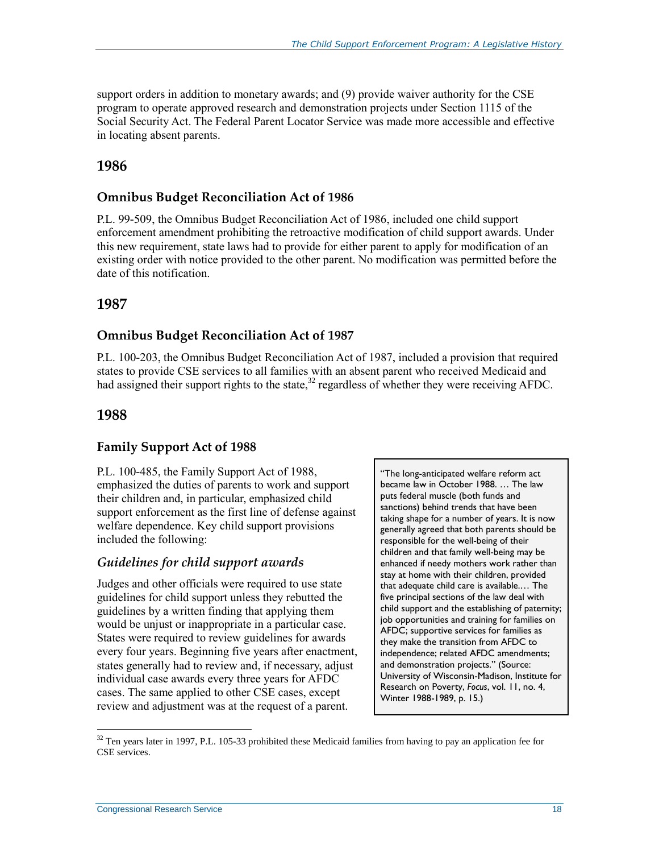support orders in addition to monetary awards; and (9) provide waiver authority for the CSE program to operate approved research and demonstration projects under Section 1115 of the Social Security Act. The Federal Parent Locator Service was made more accessible and effective in locating absent parents.

#### **1986**

#### **Omnibus Budget Reconciliation Act of 1986**

P.L. 99-509, the Omnibus Budget Reconciliation Act of 1986, included one child support enforcement amendment prohibiting the retroactive modification of child support awards. Under this new requirement, state laws had to provide for either parent to apply for modification of an existing order with notice provided to the other parent. No modification was permitted before the date of this notification.

#### **1987**

#### **Omnibus Budget Reconciliation Act of 1987**

P.L. 100-203, the Omnibus Budget Reconciliation Act of 1987, included a provision that required states to provide CSE services to all families with an absent parent who received Medicaid and had assigned their support rights to the state,<sup>32</sup> regardless of whether they were receiving AFDC.

#### **1988**

 $\overline{a}$ 

#### **Family Support Act of 1988**

P.L. 100-485, the Family Support Act of 1988, emphasized the duties of parents to work and support their children and, in particular, emphasized child support enforcement as the first line of defense against welfare dependence. Key child support provisions included the following:

#### *Guidelines for child support awards*

Judges and other officials were required to use state guidelines for child support unless they rebutted the guidelines by a written finding that applying them would be unjust or inappropriate in a particular case. States were required to review guidelines for awards every four years. Beginning five years after enactment, states generally had to review and, if necessary, adjust individual case awards every three years for AFDC cases. The same applied to other CSE cases, except review and adjustment was at the request of a parent.

"The long-anticipated welfare reform act became law in October 1988. … The law puts federal muscle (both funds and sanctions) behind trends that have been taking shape for a number of years. It is now generally agreed that both parents should be responsible for the well-being of their children and that family well-being may be enhanced if needy mothers work rather than stay at home with their children, provided that adequate child care is available.… The five principal sections of the law deal with child support and the establishing of paternity; job opportunities and training for families on AFDC; supportive services for families as they make the transition from AFDC to independence; related AFDC amendments; and demonstration projects." (Source: University of Wisconsin-Madison, Institute for Research on Poverty, *Focus*, vol. 11, no. 4, Winter 1988-1989, p. 15.)

 $32$  Ten years later in 1997, P.L. 105-33 prohibited these Medicaid families from having to pay an application fee for CSE services.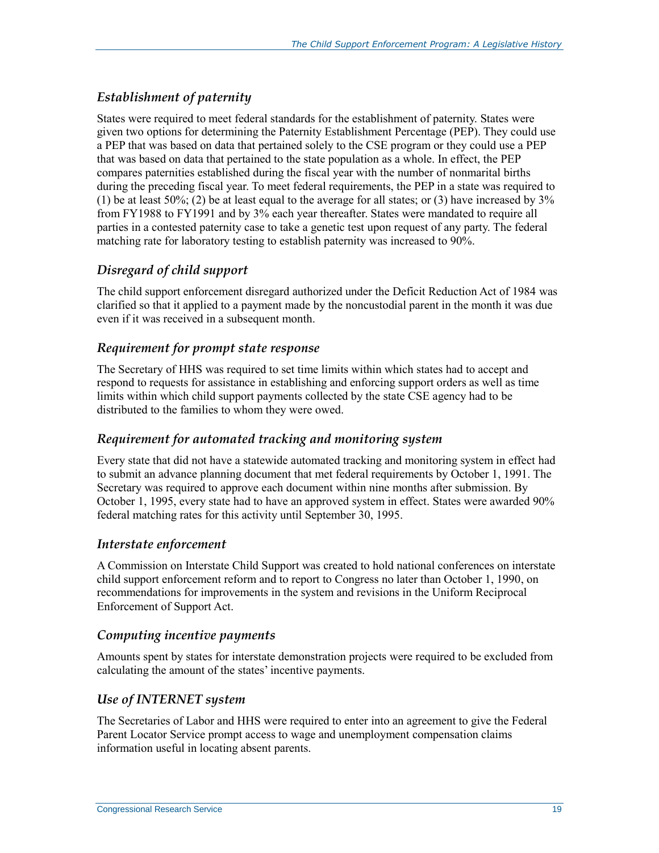#### *Establishment of paternity*

States were required to meet federal standards for the establishment of paternity. States were given two options for determining the Paternity Establishment Percentage (PEP). They could use a PEP that was based on data that pertained solely to the CSE program or they could use a PEP that was based on data that pertained to the state population as a whole. In effect, the PEP compares paternities established during the fiscal year with the number of nonmarital births during the preceding fiscal year. To meet federal requirements, the PEP in a state was required to (1) be at least  $50\%$ ; (2) be at least equal to the average for all states; or (3) have increased by  $3\%$ from FY1988 to FY1991 and by 3% each year thereafter. States were mandated to require all parties in a contested paternity case to take a genetic test upon request of any party. The federal matching rate for laboratory testing to establish paternity was increased to 90%.

#### *Disregard of child support*

The child support enforcement disregard authorized under the Deficit Reduction Act of 1984 was clarified so that it applied to a payment made by the noncustodial parent in the month it was due even if it was received in a subsequent month.

#### *Requirement for prompt state response*

The Secretary of HHS was required to set time limits within which states had to accept and respond to requests for assistance in establishing and enforcing support orders as well as time limits within which child support payments collected by the state CSE agency had to be distributed to the families to whom they were owed.

#### *Requirement for automated tracking and monitoring system*

Every state that did not have a statewide automated tracking and monitoring system in effect had to submit an advance planning document that met federal requirements by October 1, 1991. The Secretary was required to approve each document within nine months after submission. By October 1, 1995, every state had to have an approved system in effect. States were awarded 90% federal matching rates for this activity until September 30, 1995.

#### *Interstate enforcement*

A Commission on Interstate Child Support was created to hold national conferences on interstate child support enforcement reform and to report to Congress no later than October 1, 1990, on recommendations for improvements in the system and revisions in the Uniform Reciprocal Enforcement of Support Act.

#### *Computing incentive payments*

Amounts spent by states for interstate demonstration projects were required to be excluded from calculating the amount of the states' incentive payments.

#### *Use of INTERNET system*

The Secretaries of Labor and HHS were required to enter into an agreement to give the Federal Parent Locator Service prompt access to wage and unemployment compensation claims information useful in locating absent parents.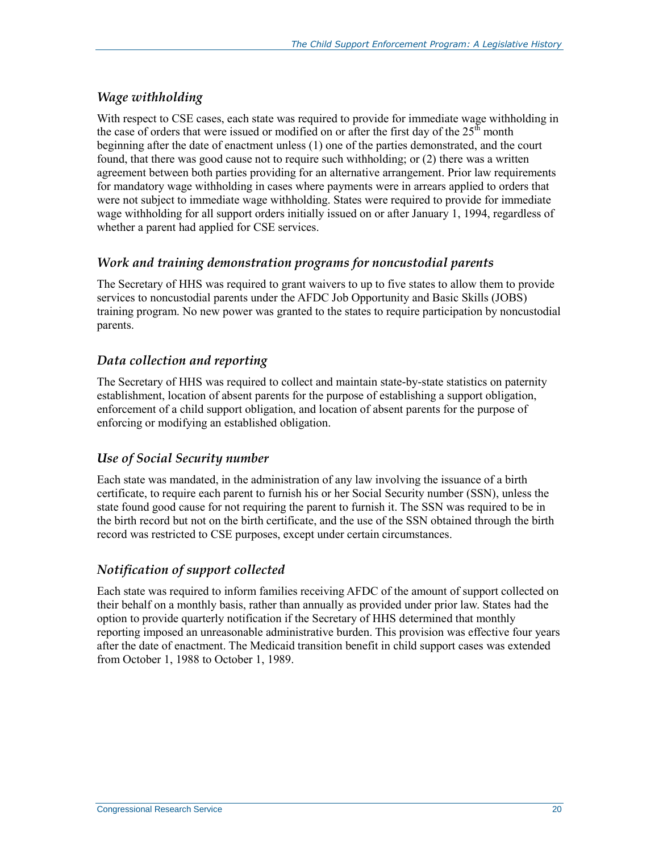#### *Wage withholding*

With respect to CSE cases, each state was required to provide for immediate wage withholding in the case of orders that were issued or modified on or after the first day of the  $25<sup>th</sup>$  month beginning after the date of enactment unless (1) one of the parties demonstrated, and the court found, that there was good cause not to require such withholding; or (2) there was a written agreement between both parties providing for an alternative arrangement. Prior law requirements for mandatory wage withholding in cases where payments were in arrears applied to orders that were not subject to immediate wage withholding. States were required to provide for immediate wage withholding for all support orders initially issued on or after January 1, 1994, regardless of whether a parent had applied for CSE services.

#### *Work and training demonstration programs for noncustodial parents*

The Secretary of HHS was required to grant waivers to up to five states to allow them to provide services to noncustodial parents under the AFDC Job Opportunity and Basic Skills (JOBS) training program. No new power was granted to the states to require participation by noncustodial parents.

#### *Data collection and reporting*

The Secretary of HHS was required to collect and maintain state-by-state statistics on paternity establishment, location of absent parents for the purpose of establishing a support obligation, enforcement of a child support obligation, and location of absent parents for the purpose of enforcing or modifying an established obligation.

#### *Use of Social Security number*

Each state was mandated, in the administration of any law involving the issuance of a birth certificate, to require each parent to furnish his or her Social Security number (SSN), unless the state found good cause for not requiring the parent to furnish it. The SSN was required to be in the birth record but not on the birth certificate, and the use of the SSN obtained through the birth record was restricted to CSE purposes, except under certain circumstances.

#### *Notification of support collected*

Each state was required to inform families receiving AFDC of the amount of support collected on their behalf on a monthly basis, rather than annually as provided under prior law. States had the option to provide quarterly notification if the Secretary of HHS determined that monthly reporting imposed an unreasonable administrative burden. This provision was effective four years after the date of enactment. The Medicaid transition benefit in child support cases was extended from October 1, 1988 to October 1, 1989.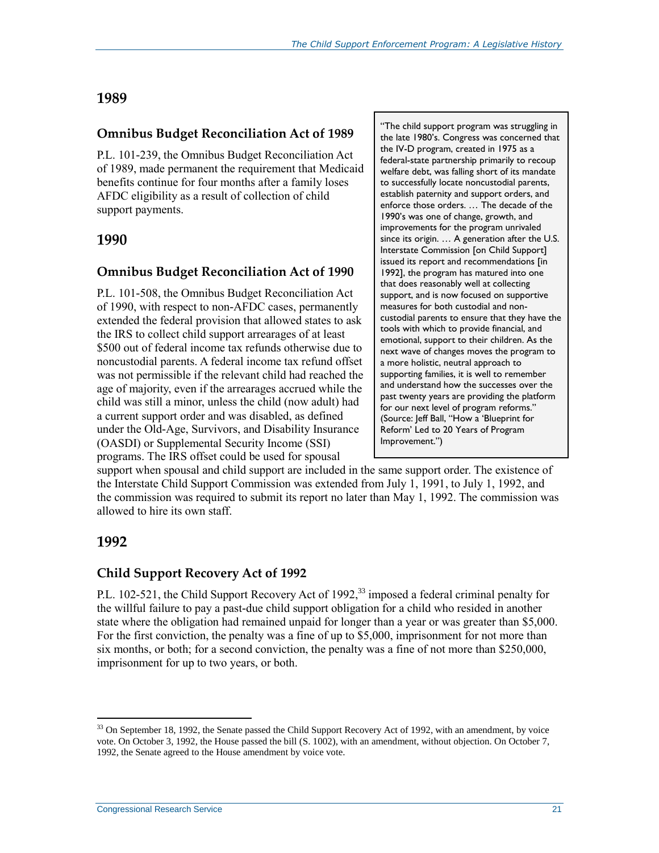#### **1989**

#### **Omnibus Budget Reconciliation Act of 1989**

P.L. 101-239, the Omnibus Budget Reconciliation Act of 1989, made permanent the requirement that Medicaid benefits continue for four months after a family loses AFDC eligibility as a result of collection of child support payments.

#### **1990**

#### **Omnibus Budget Reconciliation Act of 1990**

P.L. 101-508, the Omnibus Budget Reconciliation Act of 1990, with respect to non-AFDC cases, permanently extended the federal provision that allowed states to ask the IRS to collect child support arrearages of at least \$500 out of federal income tax refunds otherwise due to noncustodial parents. A federal income tax refund offset was not permissible if the relevant child had reached the age of majority, even if the arrearages accrued while the child was still a minor, unless the child (now adult) had a current support order and was disabled, as defined under the Old-Age, Survivors, and Disability Insurance (OASDI) or Supplemental Security Income (SSI) programs. The IRS offset could be used for spousal

"The child support program was struggling in the late 1980's. Congress was concerned that the IV-D program, created in 1975 as a federal-state partnership primarily to recoup welfare debt, was falling short of its mandate to successfully locate noncustodial parents, establish paternity and support orders, and enforce those orders. … The decade of the 1990's was one of change, growth, and improvements for the program unrivaled since its origin. … A generation after the U.S. Interstate Commission [on Child Support] issued its report and recommendations [in 1992], the program has matured into one that does reasonably well at collecting support, and is now focused on supportive measures for both custodial and noncustodial parents to ensure that they have the tools with which to provide financial, and emotional, support to their children. As the next wave of changes moves the program to a more holistic, neutral approach to supporting families, it is well to remember and understand how the successes over the past twenty years are providing the platform for our next level of program reforms." (Source: Jeff Ball, "How a 'Blueprint for Reform' Led to 20 Years of Program Improvement.")

support when spousal and child support are included in the same support order. The existence of the Interstate Child Support Commission was extended from July 1, 1991, to July 1, 1992, and the commission was required to submit its report no later than May 1, 1992. The commission was allowed to hire its own staff.

#### **1992**

 $\overline{a}$ 

#### **Child Support Recovery Act of 1992**

P.L. 102-521, the Child Support Recovery Act of 1992,<sup>33</sup> imposed a federal criminal penalty for the willful failure to pay a past-due child support obligation for a child who resided in another state where the obligation had remained unpaid for longer than a year or was greater than \$5,000. For the first conviction, the penalty was a fine of up to \$5,000, imprisonment for not more than six months, or both; for a second conviction, the penalty was a fine of not more than \$250,000, imprisonment for up to two years, or both.

<sup>&</sup>lt;sup>33</sup> On September 18, 1992, the Senate passed the Child Support Recovery Act of 1992, with an amendment, by voice vote. On October 3, 1992, the House passed the bill (S. 1002), with an amendment, without objection. On October 7, 1992, the Senate agreed to the House amendment by voice vote.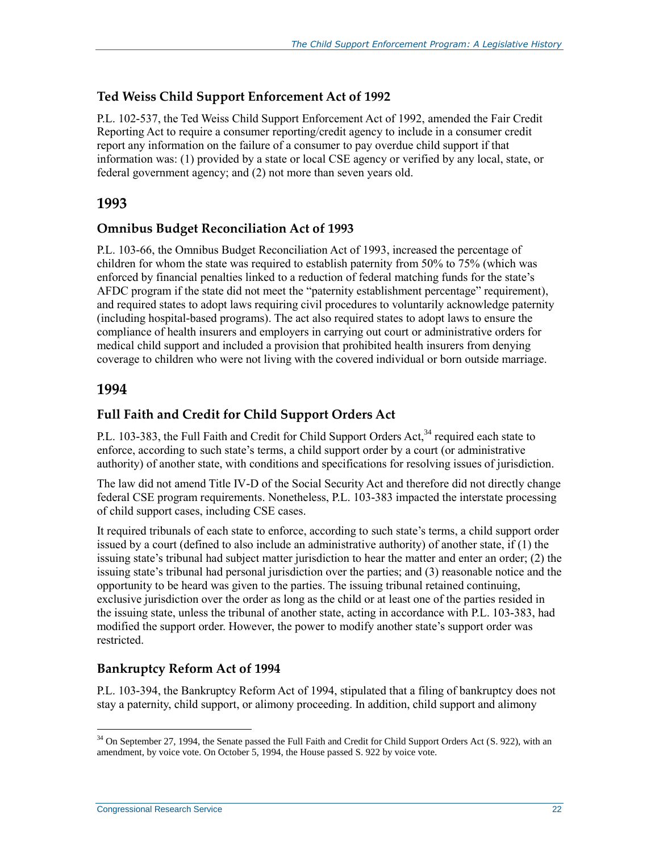#### **Ted Weiss Child Support Enforcement Act of 1992**

P.L. 102-537, the Ted Weiss Child Support Enforcement Act of 1992, amended the Fair Credit Reporting Act to require a consumer reporting/credit agency to include in a consumer credit report any information on the failure of a consumer to pay overdue child support if that information was: (1) provided by a state or local CSE agency or verified by any local, state, or federal government agency; and (2) not more than seven years old.

#### **1993**

#### **Omnibus Budget Reconciliation Act of 1993**

P.L. 103-66, the Omnibus Budget Reconciliation Act of 1993, increased the percentage of children for whom the state was required to establish paternity from 50% to 75% (which was enforced by financial penalties linked to a reduction of federal matching funds for the state's AFDC program if the state did not meet the "paternity establishment percentage" requirement), and required states to adopt laws requiring civil procedures to voluntarily acknowledge paternity (including hospital-based programs). The act also required states to adopt laws to ensure the compliance of health insurers and employers in carrying out court or administrative orders for medical child support and included a provision that prohibited health insurers from denying coverage to children who were not living with the covered individual or born outside marriage.

#### **1994**

#### **Full Faith and Credit for Child Support Orders Act**

P.L. 103-383, the Full Faith and Credit for Child Support Orders Act,<sup>34</sup> required each state to enforce, according to such state's terms, a child support order by a court (or administrative authority) of another state, with conditions and specifications for resolving issues of jurisdiction.

The law did not amend Title IV-D of the Social Security Act and therefore did not directly change federal CSE program requirements. Nonetheless, P.L. 103-383 impacted the interstate processing of child support cases, including CSE cases.

It required tribunals of each state to enforce, according to such state's terms, a child support order issued by a court (defined to also include an administrative authority) of another state, if (1) the issuing state's tribunal had subject matter jurisdiction to hear the matter and enter an order; (2) the issuing state's tribunal had personal jurisdiction over the parties; and (3) reasonable notice and the opportunity to be heard was given to the parties. The issuing tribunal retained continuing, exclusive jurisdiction over the order as long as the child or at least one of the parties resided in the issuing state, unless the tribunal of another state, acting in accordance with P.L. 103-383, had modified the support order. However, the power to modify another state's support order was restricted.

#### **Bankruptcy Reform Act of 1994**

P.L. 103-394, the Bankruptcy Reform Act of 1994, stipulated that a filing of bankruptcy does not stay a paternity, child support, or alimony proceeding. In addition, child support and alimony

 $34$  On September 27, 1994, the Senate passed the Full Faith and Credit for Child Support Orders Act (S. 922), with an amendment, by voice vote. On October 5, 1994, the House passed S. 922 by voice vote.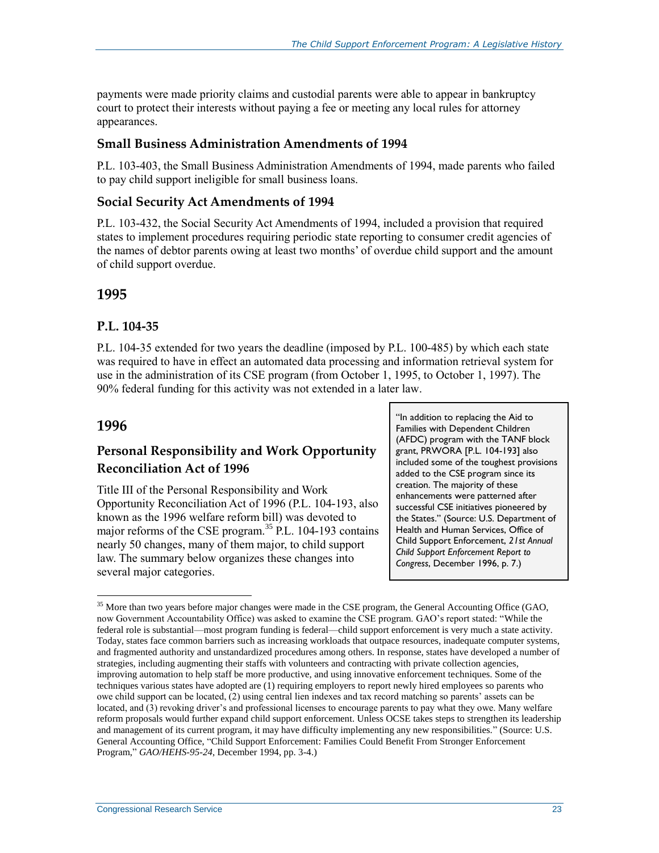payments were made priority claims and custodial parents were able to appear in bankruptcy court to protect their interests without paying a fee or meeting any local rules for attorney appearances.

#### **Small Business Administration Amendments of 1994**

P.L. 103-403, the Small Business Administration Amendments of 1994, made parents who failed to pay child support ineligible for small business loans.

#### **Social Security Act Amendments of 1994**

P.L. 103-432, the Social Security Act Amendments of 1994, included a provision that required states to implement procedures requiring periodic state reporting to consumer credit agencies of the names of debtor parents owing at least two months' of overdue child support and the amount of child support overdue.

#### **1995**

#### **P.L. 104-35**

P.L. 104-35 extended for two years the deadline (imposed by P.L. 100-485) by which each state was required to have in effect an automated data processing and information retrieval system for use in the administration of its CSE program (from October 1, 1995, to October 1, 1997). The 90% federal funding for this activity was not extended in a later law.

#### **1996**

 $\overline{a}$ 

#### **Personal Responsibility and Work Opportunity Reconciliation Act of 1996**

Title III of the Personal Responsibility and Work Opportunity Reconciliation Act of 1996 (P.L. 104-193, also known as the 1996 welfare reform bill) was devoted to major reforms of the CSE program.<sup>35</sup> P.L. 104-193 contains nearly 50 changes, many of them major, to child support law. The summary below organizes these changes into several major categories.

"In addition to replacing the Aid to Families with Dependent Children (AFDC) program with the TANF block grant, PRWORA [P.L. 104-193] also included some of the toughest provisions added to the CSE program since its creation. The majority of these enhancements were patterned after successful CSE initiatives pioneered by the States." (Source: U.S. Department of Health and Human Services, Office of Child Support Enforcement, *21st Annual Child Support Enforcement Report to Congress*, December 1996, p. 7.)

<sup>&</sup>lt;sup>35</sup> More than two years before major changes were made in the CSE program, the General Accounting Office (GAO, now Government Accountability Office) was asked to examine the CSE program. GAO's report stated: "While the federal role is substantial—most program funding is federal—child support enforcement is very much a state activity. Today, states face common barriers such as increasing workloads that outpace resources, inadequate computer systems, and fragmented authority and unstandardized procedures among others. In response, states have developed a number of strategies, including augmenting their staffs with volunteers and contracting with private collection agencies, improving automation to help staff be more productive, and using innovative enforcement techniques. Some of the techniques various states have adopted are (1) requiring employers to report newly hired employees so parents who owe child support can be located, (2) using central lien indexes and tax record matching so parents' assets can be located, and (3) revoking driver's and professional licenses to encourage parents to pay what they owe. Many welfare reform proposals would further expand child support enforcement. Unless OCSE takes steps to strengthen its leadership and management of its current program, it may have difficulty implementing any new responsibilities." (Source: U.S. General Accounting Office, "Child Support Enforcement: Families Could Benefit From Stronger Enforcement Program," *GAO/HEHS-95-24*, December 1994, pp. 3-4.)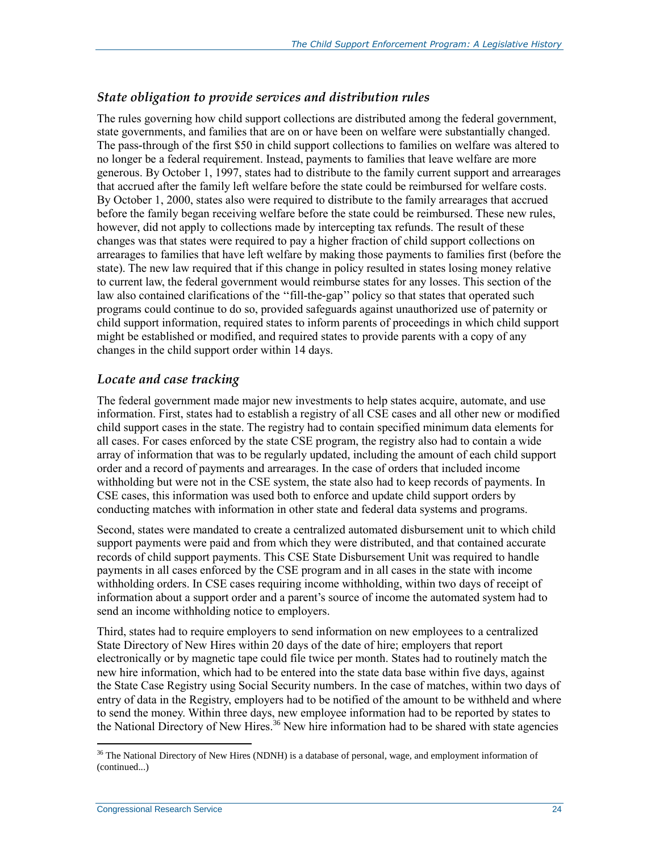#### *State obligation to provide services and distribution rules*

The rules governing how child support collections are distributed among the federal government, state governments, and families that are on or have been on welfare were substantially changed. The pass-through of the first \$50 in child support collections to families on welfare was altered to no longer be a federal requirement. Instead, payments to families that leave welfare are more generous. By October 1, 1997, states had to distribute to the family current support and arrearages that accrued after the family left welfare before the state could be reimbursed for welfare costs. By October 1, 2000, states also were required to distribute to the family arrearages that accrued before the family began receiving welfare before the state could be reimbursed. These new rules, however, did not apply to collections made by intercepting tax refunds. The result of these changes was that states were required to pay a higher fraction of child support collections on arrearages to families that have left welfare by making those payments to families first (before the state). The new law required that if this change in policy resulted in states losing money relative to current law, the federal government would reimburse states for any losses. This section of the law also contained clarifications of the ''fill-the-gap'' policy so that states that operated such programs could continue to do so, provided safeguards against unauthorized use of paternity or child support information, required states to inform parents of proceedings in which child support might be established or modified, and required states to provide parents with a copy of any changes in the child support order within 14 days.

#### *Locate and case tracking*

The federal government made major new investments to help states acquire, automate, and use information. First, states had to establish a registry of all CSE cases and all other new or modified child support cases in the state. The registry had to contain specified minimum data elements for all cases. For cases enforced by the state CSE program, the registry also had to contain a wide array of information that was to be regularly updated, including the amount of each child support order and a record of payments and arrearages. In the case of orders that included income withholding but were not in the CSE system, the state also had to keep records of payments. In CSE cases, this information was used both to enforce and update child support orders by conducting matches with information in other state and federal data systems and programs.

Second, states were mandated to create a centralized automated disbursement unit to which child support payments were paid and from which they were distributed, and that contained accurate records of child support payments. This CSE State Disbursement Unit was required to handle payments in all cases enforced by the CSE program and in all cases in the state with income withholding orders. In CSE cases requiring income withholding, within two days of receipt of information about a support order and a parent's source of income the automated system had to send an income withholding notice to employers.

Third, states had to require employers to send information on new employees to a centralized State Directory of New Hires within 20 days of the date of hire; employers that report electronically or by magnetic tape could file twice per month. States had to routinely match the new hire information, which had to be entered into the state data base within five days, against the State Case Registry using Social Security numbers. In the case of matches, within two days of entry of data in the Registry, employers had to be notified of the amount to be withheld and where to send the money. Within three days, new employee information had to be reported by states to the National Directory of New Hires.<sup>36</sup> New hire information had to be shared with state agencies

<span id="page-27-0"></span> $\overline{a}$ <sup>36</sup> The National Directory of New Hires (NDNH) is a database of personal, wage, and employment information of (continued...)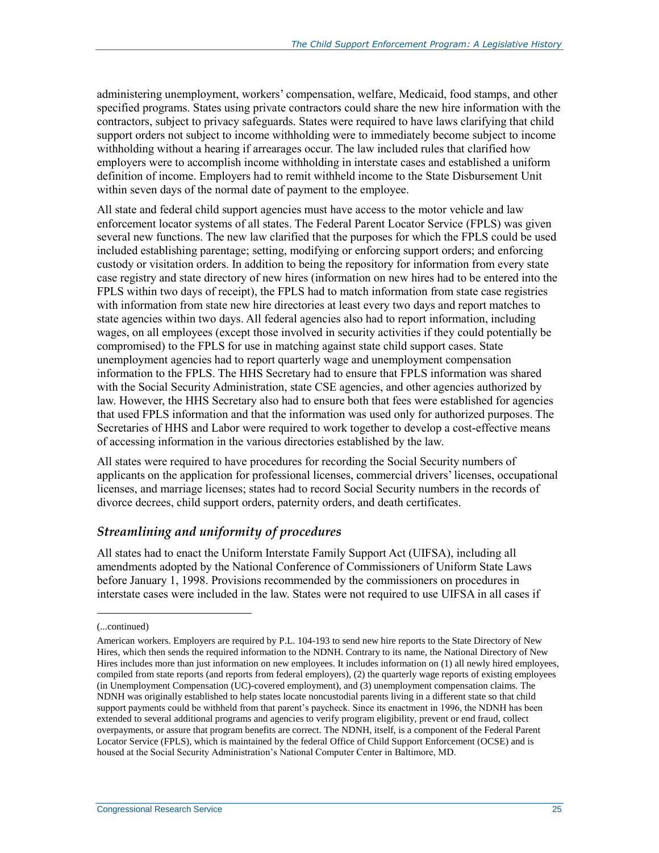administering unemployment, workers' compensation, welfare, Medicaid, food stamps, and other specified programs. States using private contractors could share the new hire information with the contractors, subject to privacy safeguards. States were required to have laws clarifying that child support orders not subject to income withholding were to immediately become subject to income withholding without a hearing if arrearages occur. The law included rules that clarified how employers were to accomplish income withholding in interstate cases and established a uniform definition of income. Employers had to remit withheld income to the State Disbursement Unit within seven days of the normal date of payment to the employee.

All state and federal child support agencies must have access to the motor vehicle and law enforcement locator systems of all states. The Federal Parent Locator Service (FPLS) was given several new functions. The new law clarified that the purposes for which the FPLS could be used included establishing parentage; setting, modifying or enforcing support orders; and enforcing custody or visitation orders. In addition to being the repository for information from every state case registry and state directory of new hires (information on new hires had to be entered into the FPLS within two days of receipt), the FPLS had to match information from state case registries with information from state new hire directories at least every two days and report matches to state agencies within two days. All federal agencies also had to report information, including wages, on all employees (except those involved in security activities if they could potentially be compromised) to the FPLS for use in matching against state child support cases. State unemployment agencies had to report quarterly wage and unemployment compensation information to the FPLS. The HHS Secretary had to ensure that FPLS information was shared with the Social Security Administration, state CSE agencies, and other agencies authorized by law. However, the HHS Secretary also had to ensure both that fees were established for agencies that used FPLS information and that the information was used only for authorized purposes. The Secretaries of HHS and Labor were required to work together to develop a cost-effective means of accessing information in the various directories established by the law.

All states were required to have procedures for recording the Social Security numbers of applicants on the application for professional licenses, commercial drivers' licenses, occupational licenses, and marriage licenses; states had to record Social Security numbers in the records of divorce decrees, child support orders, paternity orders, and death certificates.

#### *Streamlining and uniformity of procedures*

All states had to enact the Uniform Interstate Family Support Act (UIFSA), including all amendments adopted by the National Conference of Commissioners of Uniform State Laws before January 1, 1998. Provisions recommended by the commissioners on procedures in interstate cases were included in the law. States were not required to use UIFSA in all cases if

<sup>(...</sup>continued)

American workers. Employers are required by P.L. 104-193 to send new hire reports to the State Directory of New Hires, which then sends the required information to the NDNH. Contrary to its name, the National Directory of New Hires includes more than just information on new employees. It includes information on (1) all newly hired employees, compiled from state reports (and reports from federal employers), (2) the quarterly wage reports of existing employees (in Unemployment Compensation (UC)-covered employment), and (3) unemployment compensation claims. The NDNH was originally established to help states locate noncustodial parents living in a different state so that child support payments could be withheld from that parent's paycheck. Since its enactment in 1996, the NDNH has been extended to several additional programs and agencies to verify program eligibility, prevent or end fraud, collect overpayments, or assure that program benefits are correct. The NDNH, itself, is a component of the Federal Parent Locator Service (FPLS), which is maintained by the federal Office of Child Support Enforcement (OCSE) and is housed at the Social Security Administration's National Computer Center in Baltimore, MD.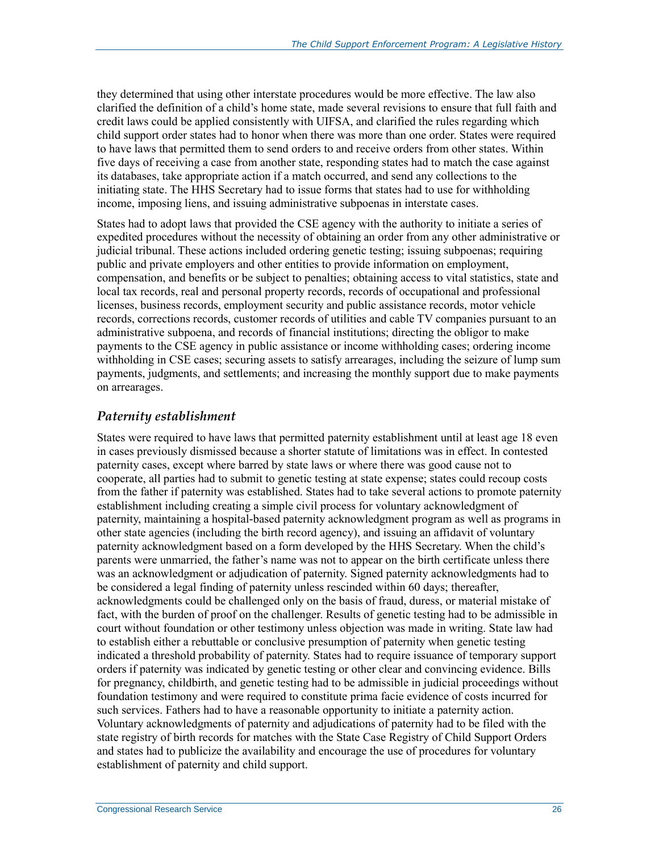they determined that using other interstate procedures would be more effective. The law also clarified the definition of a child's home state, made several revisions to ensure that full faith and credit laws could be applied consistently with UIFSA, and clarified the rules regarding which child support order states had to honor when there was more than one order. States were required to have laws that permitted them to send orders to and receive orders from other states. Within five days of receiving a case from another state, responding states had to match the case against its databases, take appropriate action if a match occurred, and send any collections to the initiating state. The HHS Secretary had to issue forms that states had to use for withholding income, imposing liens, and issuing administrative subpoenas in interstate cases.

States had to adopt laws that provided the CSE agency with the authority to initiate a series of expedited procedures without the necessity of obtaining an order from any other administrative or judicial tribunal. These actions included ordering genetic testing; issuing subpoenas; requiring public and private employers and other entities to provide information on employment, compensation, and benefits or be subject to penalties; obtaining access to vital statistics, state and local tax records, real and personal property records, records of occupational and professional licenses, business records, employment security and public assistance records, motor vehicle records, corrections records, customer records of utilities and cable TV companies pursuant to an administrative subpoena, and records of financial institutions; directing the obligor to make payments to the CSE agency in public assistance or income withholding cases; ordering income withholding in CSE cases; securing assets to satisfy arrearages, including the seizure of lump sum payments, judgments, and settlements; and increasing the monthly support due to make payments on arrearages.

#### *Paternity establishment*

States were required to have laws that permitted paternity establishment until at least age 18 even in cases previously dismissed because a shorter statute of limitations was in effect. In contested paternity cases, except where barred by state laws or where there was good cause not to cooperate, all parties had to submit to genetic testing at state expense; states could recoup costs from the father if paternity was established. States had to take several actions to promote paternity establishment including creating a simple civil process for voluntary acknowledgment of paternity, maintaining a hospital-based paternity acknowledgment program as well as programs in other state agencies (including the birth record agency), and issuing an affidavit of voluntary paternity acknowledgment based on a form developed by the HHS Secretary. When the child's parents were unmarried, the father's name was not to appear on the birth certificate unless there was an acknowledgment or adjudication of paternity. Signed paternity acknowledgments had to be considered a legal finding of paternity unless rescinded within 60 days; thereafter, acknowledgments could be challenged only on the basis of fraud, duress, or material mistake of fact, with the burden of proof on the challenger. Results of genetic testing had to be admissible in court without foundation or other testimony unless objection was made in writing. State law had to establish either a rebuttable or conclusive presumption of paternity when genetic testing indicated a threshold probability of paternity. States had to require issuance of temporary support orders if paternity was indicated by genetic testing or other clear and convincing evidence. Bills for pregnancy, childbirth, and genetic testing had to be admissible in judicial proceedings without foundation testimony and were required to constitute prima facie evidence of costs incurred for such services. Fathers had to have a reasonable opportunity to initiate a paternity action. Voluntary acknowledgments of paternity and adjudications of paternity had to be filed with the state registry of birth records for matches with the State Case Registry of Child Support Orders and states had to publicize the availability and encourage the use of procedures for voluntary establishment of paternity and child support.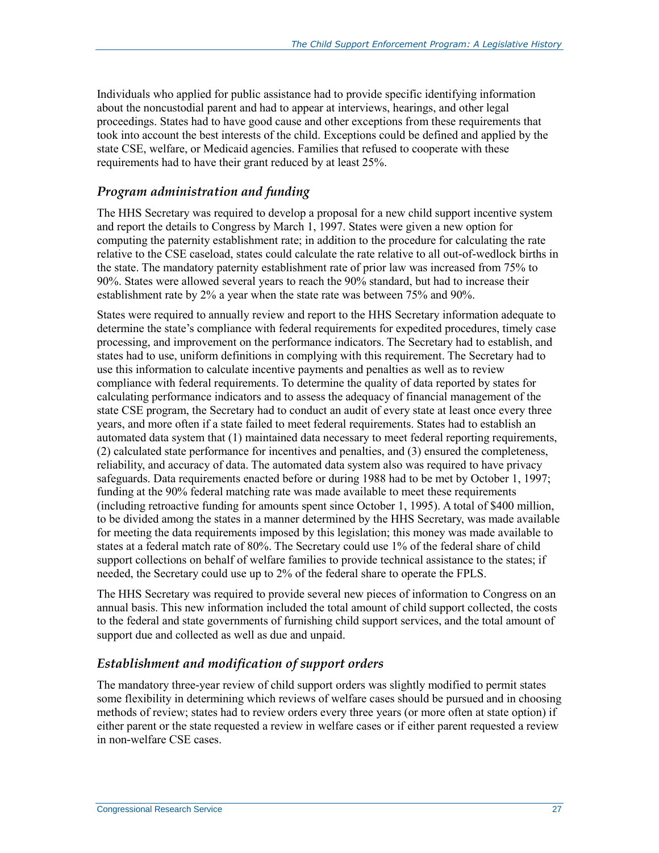Individuals who applied for public assistance had to provide specific identifying information about the noncustodial parent and had to appear at interviews, hearings, and other legal proceedings. States had to have good cause and other exceptions from these requirements that took into account the best interests of the child. Exceptions could be defined and applied by the state CSE, welfare, or Medicaid agencies. Families that refused to cooperate with these requirements had to have their grant reduced by at least 25%.

#### *Program administration and funding*

The HHS Secretary was required to develop a proposal for a new child support incentive system and report the details to Congress by March 1, 1997. States were given a new option for computing the paternity establishment rate; in addition to the procedure for calculating the rate relative to the CSE caseload, states could calculate the rate relative to all out-of-wedlock births in the state. The mandatory paternity establishment rate of prior law was increased from 75% to 90%. States were allowed several years to reach the 90% standard, but had to increase their establishment rate by 2% a year when the state rate was between 75% and 90%.

States were required to annually review and report to the HHS Secretary information adequate to determine the state's compliance with federal requirements for expedited procedures, timely case processing, and improvement on the performance indicators. The Secretary had to establish, and states had to use, uniform definitions in complying with this requirement. The Secretary had to use this information to calculate incentive payments and penalties as well as to review compliance with federal requirements. To determine the quality of data reported by states for calculating performance indicators and to assess the adequacy of financial management of the state CSE program, the Secretary had to conduct an audit of every state at least once every three years, and more often if a state failed to meet federal requirements. States had to establish an automated data system that (1) maintained data necessary to meet federal reporting requirements, (2) calculated state performance for incentives and penalties, and (3) ensured the completeness, reliability, and accuracy of data. The automated data system also was required to have privacy safeguards. Data requirements enacted before or during 1988 had to be met by October 1, 1997; funding at the 90% federal matching rate was made available to meet these requirements (including retroactive funding for amounts spent since October 1, 1995). A total of \$400 million, to be divided among the states in a manner determined by the HHS Secretary, was made available for meeting the data requirements imposed by this legislation; this money was made available to states at a federal match rate of 80%. The Secretary could use 1% of the federal share of child support collections on behalf of welfare families to provide technical assistance to the states; if needed, the Secretary could use up to 2% of the federal share to operate the FPLS.

The HHS Secretary was required to provide several new pieces of information to Congress on an annual basis. This new information included the total amount of child support collected, the costs to the federal and state governments of furnishing child support services, and the total amount of support due and collected as well as due and unpaid.

#### *Establishment and modification of support orders*

The mandatory three-year review of child support orders was slightly modified to permit states some flexibility in determining which reviews of welfare cases should be pursued and in choosing methods of review; states had to review orders every three years (or more often at state option) if either parent or the state requested a review in welfare cases or if either parent requested a review in non-welfare CSE cases.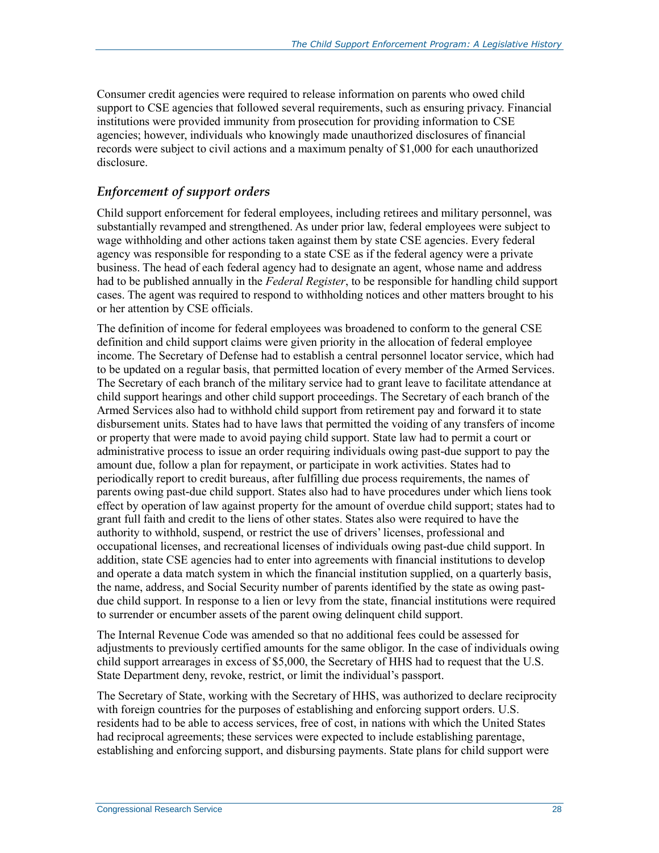Consumer credit agencies were required to release information on parents who owed child support to CSE agencies that followed several requirements, such as ensuring privacy. Financial institutions were provided immunity from prosecution for providing information to CSE agencies; however, individuals who knowingly made unauthorized disclosures of financial records were subject to civil actions and a maximum penalty of \$1,000 for each unauthorized disclosure.

#### *Enforcement of support orders*

Child support enforcement for federal employees, including retirees and military personnel, was substantially revamped and strengthened. As under prior law, federal employees were subject to wage withholding and other actions taken against them by state CSE agencies. Every federal agency was responsible for responding to a state CSE as if the federal agency were a private business. The head of each federal agency had to designate an agent, whose name and address had to be published annually in the *Federal Register*, to be responsible for handling child support cases. The agent was required to respond to withholding notices and other matters brought to his or her attention by CSE officials.

The definition of income for federal employees was broadened to conform to the general CSE definition and child support claims were given priority in the allocation of federal employee income. The Secretary of Defense had to establish a central personnel locator service, which had to be updated on a regular basis, that permitted location of every member of the Armed Services. The Secretary of each branch of the military service had to grant leave to facilitate attendance at child support hearings and other child support proceedings. The Secretary of each branch of the Armed Services also had to withhold child support from retirement pay and forward it to state disbursement units. States had to have laws that permitted the voiding of any transfers of income or property that were made to avoid paying child support. State law had to permit a court or administrative process to issue an order requiring individuals owing past-due support to pay the amount due, follow a plan for repayment, or participate in work activities. States had to periodically report to credit bureaus, after fulfilling due process requirements, the names of parents owing past-due child support. States also had to have procedures under which liens took effect by operation of law against property for the amount of overdue child support; states had to grant full faith and credit to the liens of other states. States also were required to have the authority to withhold, suspend, or restrict the use of drivers' licenses, professional and occupational licenses, and recreational licenses of individuals owing past-due child support. In addition, state CSE agencies had to enter into agreements with financial institutions to develop and operate a data match system in which the financial institution supplied, on a quarterly basis, the name, address, and Social Security number of parents identified by the state as owing pastdue child support. In response to a lien or levy from the state, financial institutions were required to surrender or encumber assets of the parent owing delinquent child support.

The Internal Revenue Code was amended so that no additional fees could be assessed for adjustments to previously certified amounts for the same obligor. In the case of individuals owing child support arrearages in excess of \$5,000, the Secretary of HHS had to request that the U.S. State Department deny, revoke, restrict, or limit the individual's passport.

The Secretary of State, working with the Secretary of HHS, was authorized to declare reciprocity with foreign countries for the purposes of establishing and enforcing support orders. U.S. residents had to be able to access services, free of cost, in nations with which the United States had reciprocal agreements; these services were expected to include establishing parentage, establishing and enforcing support, and disbursing payments. State plans for child support were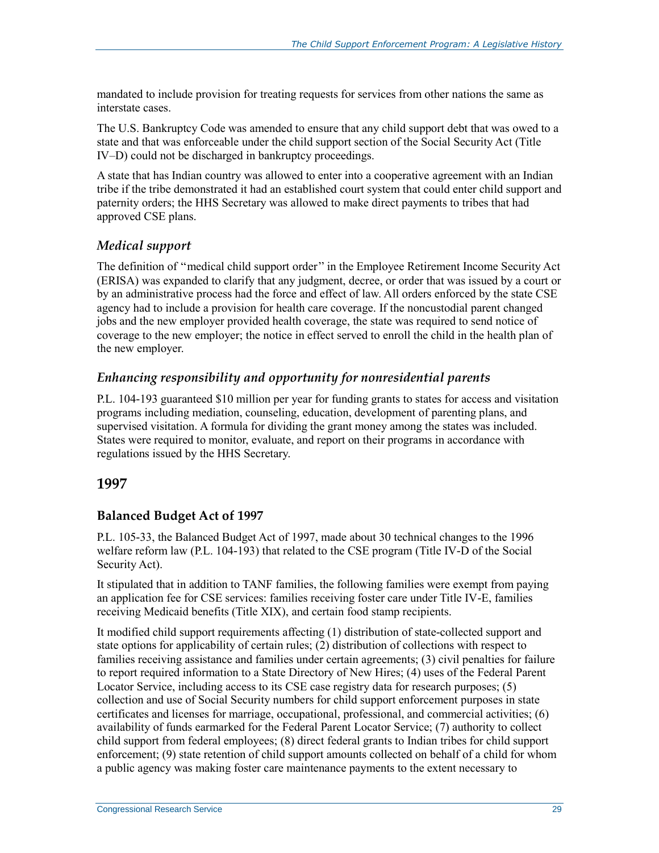mandated to include provision for treating requests for services from other nations the same as interstate cases.

The U.S. Bankruptcy Code was amended to ensure that any child support debt that was owed to a state and that was enforceable under the child support section of the Social Security Act (Title IV–D) could not be discharged in bankruptcy proceedings.

A state that has Indian country was allowed to enter into a cooperative agreement with an Indian tribe if the tribe demonstrated it had an established court system that could enter child support and paternity orders; the HHS Secretary was allowed to make direct payments to tribes that had approved CSE plans.

#### *Medical support*

The definition of ''medical child support order'' in the Employee Retirement Income Security Act (ERISA) was expanded to clarify that any judgment, decree, or order that was issued by a court or by an administrative process had the force and effect of law. All orders enforced by the state CSE agency had to include a provision for health care coverage. If the noncustodial parent changed jobs and the new employer provided health coverage, the state was required to send notice of coverage to the new employer; the notice in effect served to enroll the child in the health plan of the new employer.

#### *Enhancing responsibility and opportunity for nonresidential parents*

P.L. 104-193 guaranteed \$10 million per year for funding grants to states for access and visitation programs including mediation, counseling, education, development of parenting plans, and supervised visitation. A formula for dividing the grant money among the states was included. States were required to monitor, evaluate, and report on their programs in accordance with regulations issued by the HHS Secretary.

#### **1997**

#### **Balanced Budget Act of 1997**

P.L. 105-33, the Balanced Budget Act of 1997, made about 30 technical changes to the 1996 welfare reform law (P.L. 104-193) that related to the CSE program (Title IV-D of the Social Security Act).

It stipulated that in addition to TANF families, the following families were exempt from paying an application fee for CSE services: families receiving foster care under Title IV-E, families receiving Medicaid benefits (Title XIX), and certain food stamp recipients.

It modified child support requirements affecting (1) distribution of state-collected support and state options for applicability of certain rules; (2) distribution of collections with respect to families receiving assistance and families under certain agreements; (3) civil penalties for failure to report required information to a State Directory of New Hires; (4) uses of the Federal Parent Locator Service, including access to its CSE case registry data for research purposes; (5) collection and use of Social Security numbers for child support enforcement purposes in state certificates and licenses for marriage, occupational, professional, and commercial activities; (6) availability of funds earmarked for the Federal Parent Locator Service; (7) authority to collect child support from federal employees; (8) direct federal grants to Indian tribes for child support enforcement; (9) state retention of child support amounts collected on behalf of a child for whom a public agency was making foster care maintenance payments to the extent necessary to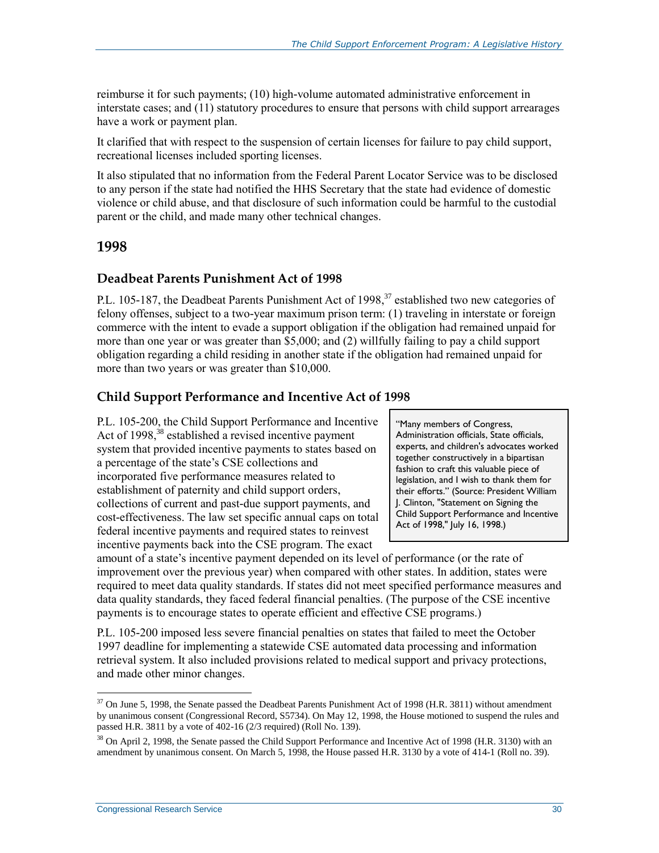reimburse it for such payments; (10) high-volume automated administrative enforcement in interstate cases; and (11) statutory procedures to ensure that persons with child support arrearages have a work or payment plan.

It clarified that with respect to the suspension of certain licenses for failure to pay child support, recreational licenses included sporting licenses.

It also stipulated that no information from the Federal Parent Locator Service was to be disclosed to any person if the state had notified the HHS Secretary that the state had evidence of domestic violence or child abuse, and that disclosure of such information could be harmful to the custodial parent or the child, and made many other technical changes.

#### **1998**

#### **Deadbeat Parents Punishment Act of 1998**

P.L. 105-187, the Deadbeat Parents Punishment Act of 1998,<sup>37</sup> established two new categories of felony offenses, subject to a two-year maximum prison term: (1) traveling in interstate or foreign commerce with the intent to evade a support obligation if the obligation had remained unpaid for more than one year or was greater than \$5,000; and (2) willfully failing to pay a child support obligation regarding a child residing in another state if the obligation had remained unpaid for more than two years or was greater than \$10,000.

#### **Child Support Performance and Incentive Act of 1998**

P.L. 105-200, the Child Support Performance and Incentive Act of 1998,<sup>38</sup> established a revised incentive payment system that provided incentive payments to states based on a percentage of the state's CSE collections and incorporated five performance measures related to establishment of paternity and child support orders, collections of current and past-due support payments, and cost-effectiveness. The law set specific annual caps on total federal incentive payments and required states to reinvest incentive payments back into the CSE program. The exact

"Many members of Congress, Administration officials, State officials, experts, and children's advocates worked together constructively in a bipartisan fashion to craft this valuable piece of legislation, and I wish to thank them for their efforts." (Source: President William J. Clinton, "Statement on Signing the Child Support Performance and Incentive Act of 1998," July 16, 1998.)

amount of a state's incentive payment depended on its level of performance (or the rate of improvement over the previous year) when compared with other states. In addition, states were required to meet data quality standards. If states did not meet specified performance measures and data quality standards, they faced federal financial penalties. (The purpose of the CSE incentive payments is to encourage states to operate efficient and effective CSE programs.)

P.L. 105-200 imposed less severe financial penalties on states that failed to meet the October 1997 deadline for implementing a statewide CSE automated data processing and information retrieval system. It also included provisions related to medical support and privacy protections, and made other minor changes.

<sup>&</sup>lt;sup>37</sup> On June 5, 1998, the Senate passed the Deadbeat Parents Punishment Act of 1998 (H.R. 3811) without amendment by unanimous consent (Congressional Record, S5734). On May 12, 1998, the House motioned to suspend the rules and passed H.R. 3811 by a vote of 402-16 (2/3 required) (Roll No. 139).

<sup>&</sup>lt;sup>38</sup> On April 2, 1998, the Senate passed the Child Support Performance and Incentive Act of 1998 (H.R. 3130) with an amendment by unanimous consent. On March 5, 1998, the House passed H.R. 3130 by a vote of 414-1 (Roll no. 39).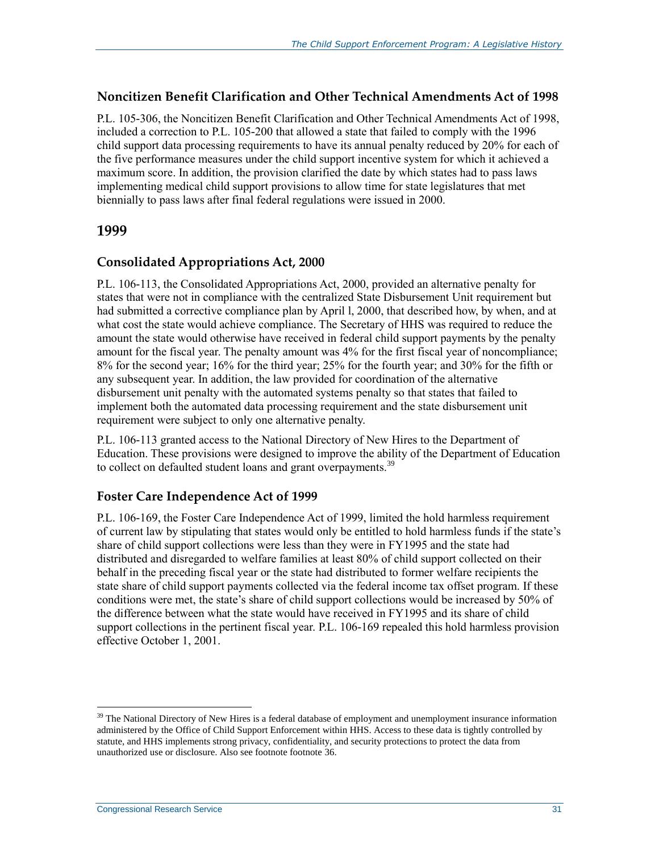#### **Noncitizen Benefit Clarification and Other Technical Amendments Act of 1998**

P.L. 105-306, the Noncitizen Benefit Clarification and Other Technical Amendments Act of 1998, included a correction to P.L. 105-200 that allowed a state that failed to comply with the 1996 child support data processing requirements to have its annual penalty reduced by 20% for each of the five performance measures under the child support incentive system for which it achieved a maximum score. In addition, the provision clarified the date by which states had to pass laws implementing medical child support provisions to allow time for state legislatures that met biennially to pass laws after final federal regulations were issued in 2000.

#### **1999**

#### **Consolidated Appropriations Act, 2000**

P.L. 106-113, the Consolidated Appropriations Act, 2000, provided an alternative penalty for states that were not in compliance with the centralized State Disbursement Unit requirement but had submitted a corrective compliance plan by April l, 2000, that described how, by when, and at what cost the state would achieve compliance. The Secretary of HHS was required to reduce the amount the state would otherwise have received in federal child support payments by the penalty amount for the fiscal year. The penalty amount was 4% for the first fiscal year of noncompliance; 8% for the second year; 16% for the third year; 25% for the fourth year; and 30% for the fifth or any subsequent year. In addition, the law provided for coordination of the alternative disbursement unit penalty with the automated systems penalty so that states that failed to implement both the automated data processing requirement and the state disbursement unit requirement were subject to only one alternative penalty.

P.L. 106-113 granted access to the National Directory of New Hires to the Department of Education. These provisions were designed to improve the ability of the Department of Education to collect on defaulted student loans and grant overpayments.<sup>39</sup>

#### **Foster Care Independence Act of 1999**

P.L. 106-169, the Foster Care Independence Act of 1999, limited the hold harmless requirement of current law by stipulating that states would only be entitled to hold harmless funds if the state's share of child support collections were less than they were in FY1995 and the state had distributed and disregarded to welfare families at least 80% of child support collected on their behalf in the preceding fiscal year or the state had distributed to former welfare recipients the state share of child support payments collected via the federal income tax offset program. If these conditions were met, the state's share of child support collections would be increased by 50% of the difference between what the state would have received in FY1995 and its share of child support collections in the pertinent fiscal year. P.L. 106-169 repealed this hold harmless provision effective October 1, 2001.

<sup>&</sup>lt;sup>39</sup> The National Directory of New Hires is a federal database of employment and unemployment insurance information administered by the Office of Child Support Enforcement within HHS. Access to these data is tightly controlled by statute, and HHS implements strong privacy, confidentiality, and security protections to protect the data from unauthorized use or disclosure. Also see footnote footnot[e 36.](#page-27-0)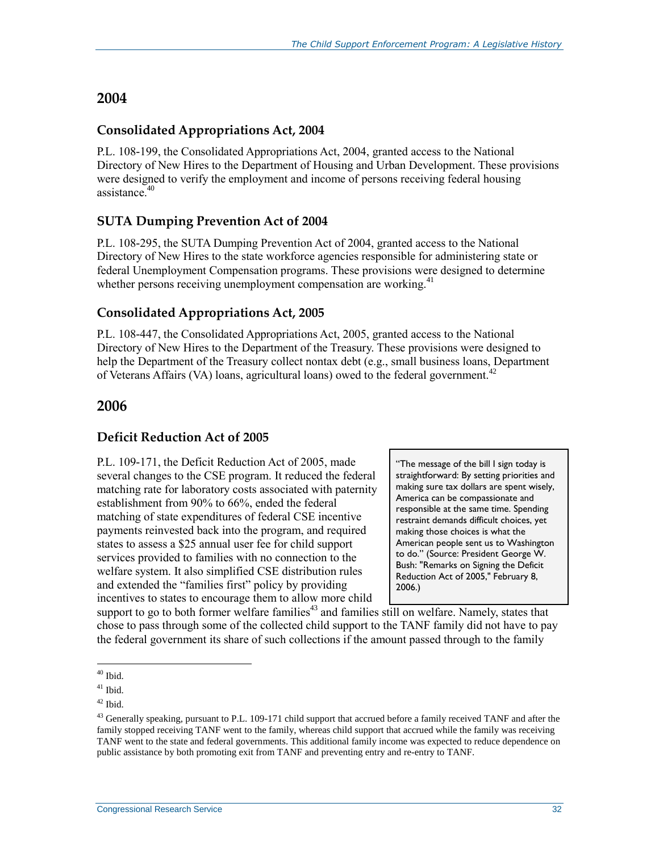#### **2004**

#### **Consolidated Appropriations Act, 2004**

P.L. 108-199, the Consolidated Appropriations Act, 2004, granted access to the National Directory of New Hires to the Department of Housing and Urban Development. These provisions were designed to verify the employment and income of persons receiving federal housing assistance $40$ 

#### **SUTA Dumping Prevention Act of 2004**

P.L. 108-295, the SUTA Dumping Prevention Act of 2004, granted access to the National Directory of New Hires to the state workforce agencies responsible for administering state or federal Unemployment Compensation programs. These provisions were designed to determine whether persons receiving unemployment compensation are working.<sup>41</sup>

#### **Consolidated Appropriations Act, 2005**

P.L. 108-447, the Consolidated Appropriations Act, 2005, granted access to the National Directory of New Hires to the Department of the Treasury. These provisions were designed to help the Department of the Treasury collect nontax debt (e.g., small business loans, Department of Veterans Affairs (VA) loans, agricultural loans) owed to the federal government.<sup>42</sup>

#### **2006**

#### **Deficit Reduction Act of 2005**

P.L. 109-171, the Deficit Reduction Act of 2005, made several changes to the CSE program. It reduced the federal matching rate for laboratory costs associated with paternity establishment from 90% to 66%, ended the federal matching of state expenditures of federal CSE incentive payments reinvested back into the program, and required states to assess a \$25 annual user fee for child support services provided to families with no connection to the welfare system. It also simplified CSE distribution rules and extended the "families first" policy by providing incentives to states to encourage them to allow more child

"The message of the bill I sign today is straightforward: By setting priorities and making sure tax dollars are spent wisely, America can be compassionate and responsible at the same time. Spending restraint demands difficult choices, yet making those choices is what the American people sent us to Washington to do." (Source: President George W. Bush: "Remarks on Signing the Deficit Reduction Act of 2005," February 8, 2006.)

support to go to both former welfare families<sup>43</sup> and families still on welfare. Namely, states that chose to pass through some of the collected child support to the TANF family did not have to pay the federal government its share of such collections if the amount passed through to the family

 $\overline{a}$  $40$  Ibid.

 $41$  Ibid.

 $42$  Ibid.

<sup>&</sup>lt;sup>43</sup> Generally speaking, pursuant to P.L. 109-171 child support that accrued before a family received TANF and after the family stopped receiving TANF went to the family, whereas child support that accrued while the family was receiving TANF went to the state and federal governments. This additional family income was expected to reduce dependence on public assistance by both promoting exit from TANF and preventing entry and re-entry to TANF.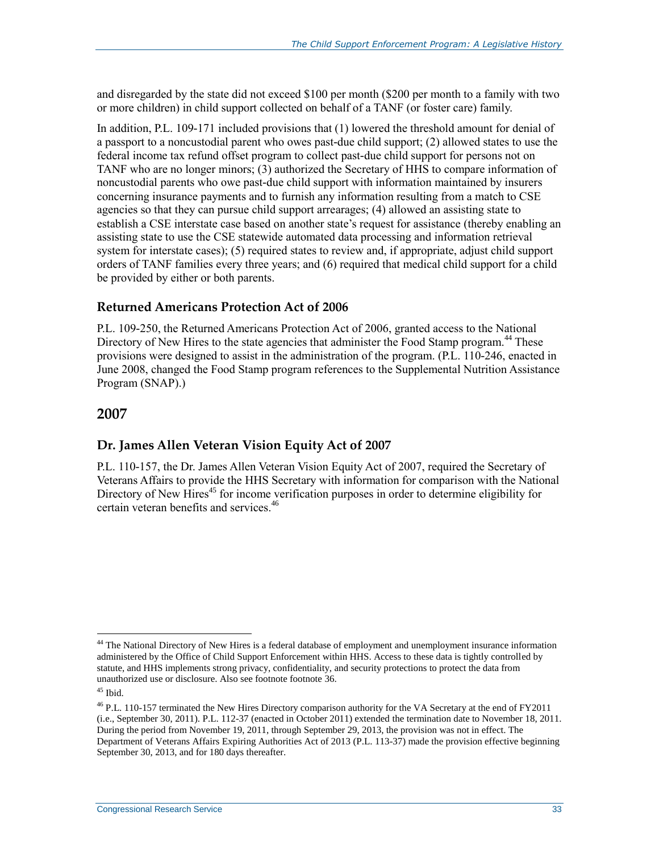and disregarded by the state did not exceed \$100 per month (\$200 per month to a family with two or more children) in child support collected on behalf of a TANF (or foster care) family.

In addition, P.L. 109-171 included provisions that (1) lowered the threshold amount for denial of a passport to a noncustodial parent who owes past-due child support; (2) allowed states to use the federal income tax refund offset program to collect past-due child support for persons not on TANF who are no longer minors; (3) authorized the Secretary of HHS to compare information of noncustodial parents who owe past-due child support with information maintained by insurers concerning insurance payments and to furnish any information resulting from a match to CSE agencies so that they can pursue child support arrearages; (4) allowed an assisting state to establish a CSE interstate case based on another state's request for assistance (thereby enabling an assisting state to use the CSE statewide automated data processing and information retrieval system for interstate cases); (5) required states to review and, if appropriate, adjust child support orders of TANF families every three years; and (6) required that medical child support for a child be provided by either or both parents.

#### **Returned Americans Protection Act of 2006**

P.L. 109-250, the Returned Americans Protection Act of 2006, granted access to the National Directory of New Hires to the state agencies that administer the Food Stamp program.<sup>44</sup> These provisions were designed to assist in the administration of the program. (P.L. 110-246, enacted in June 2008, changed the Food Stamp program references to the Supplemental Nutrition Assistance Program (SNAP).)

#### **2007**

#### **Dr. James Allen Veteran Vision Equity Act of 2007**

P.L. 110-157, the Dr. James Allen Veteran Vision Equity Act of 2007, required the Secretary of Veterans Affairs to provide the HHS Secretary with information for comparison with the National Directory of New Hires<sup>45</sup> for income verification purposes in order to determine eligibility for certain veteran benefits and services.<sup>46</sup>

<sup>&</sup>lt;sup>44</sup> The National Directory of New Hires is a federal database of employment and unemployment insurance information administered by the Office of Child Support Enforcement within HHS. Access to these data is tightly controlled by statute, and HHS implements strong privacy, confidentiality, and security protections to protect the data from unauthorized use or disclosure. Also see footnote footnot[e 36.](#page-27-0)

 $45$  Ibid.

<sup>&</sup>lt;sup>46</sup> P.L. 110-157 terminated the New Hires Directory comparison authority for the VA Secretary at the end of FY2011 (i.e., September 30, 2011). P.L. 112-37 (enacted in October 2011) extended the termination date to November 18, 2011. During the period from November 19, 2011, through September 29, 2013, the provision was not in effect. The Department of Veterans Affairs Expiring Authorities Act of 2013 (P.L. 113-37) made the provision effective beginning September 30, 2013, and for 180 days thereafter.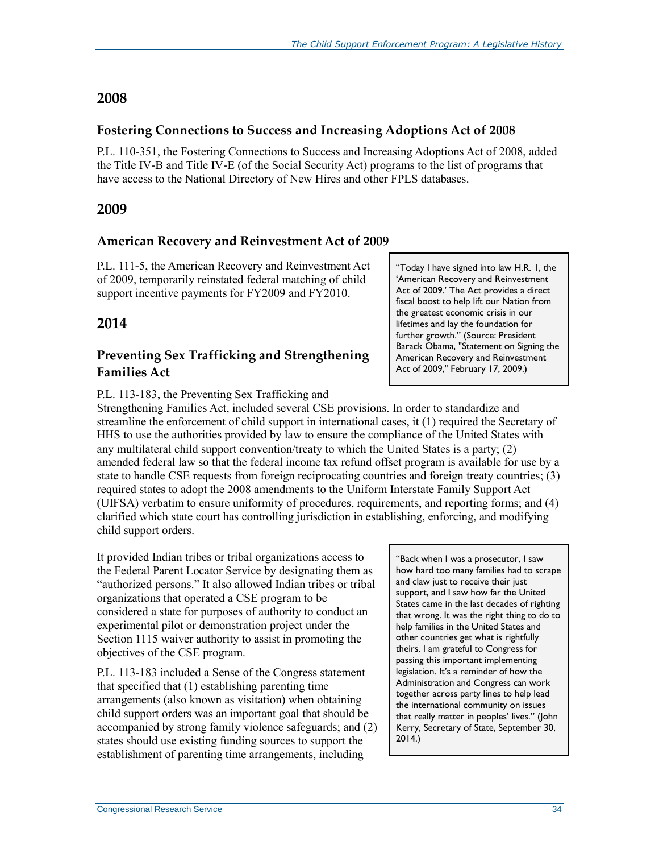#### **2008**

#### **Fostering Connections to Success and Increasing Adoptions Act of 2008**

P.L. 110-351, the Fostering Connections to Success and Increasing Adoptions Act of 2008, added the Title IV-B and Title IV-E (of the Social Security Act) programs to the list of programs that have access to the National Directory of New Hires and other FPLS databases.

#### **2009**

#### **American Recovery and Reinvestment Act of 2009**

P.L. 111-5, the American Recovery and Reinvestment Act of 2009, temporarily reinstated federal matching of child support incentive payments for FY2009 and FY2010.

#### **2014**

#### **Preventing Sex Trafficking and Strengthening Families Act**

#### P.L. 113-183, the Preventing Sex Trafficking and

Strengthening Families Act, included several CSE provisions. In order to standardize and streamline the enforcement of child support in international cases, it (1) required the Secretary of HHS to use the authorities provided by law to ensure the compliance of the United States with any multilateral child support convention/treaty to which the United States is a party; (2) amended federal law so that the federal income tax refund offset program is available for use by a state to handle CSE requests from foreign reciprocating countries and foreign treaty countries; (3) required states to adopt the 2008 amendments to the Uniform Interstate Family Support Act (UIFSA) verbatim to ensure uniformity of procedures, requirements, and reporting forms; and (4) clarified which state court has controlling jurisdiction in establishing, enforcing, and modifying child support orders.

It provided Indian tribes or tribal organizations access to the Federal Parent Locator Service by designating them as "authorized persons." It also allowed Indian tribes or tribal organizations that operated a CSE program to be considered a state for purposes of authority to conduct an experimental pilot or demonstration project under the Section 1115 waiver authority to assist in promoting the objectives of the CSE program.

P.L. 113-183 included a Sense of the Congress statement that specified that (1) establishing parenting time arrangements (also known as visitation) when obtaining child support orders was an important goal that should be accompanied by strong family violence safeguards; and (2) states should use existing funding sources to support the establishment of parenting time arrangements, including

"Today I have signed into law H.R. 1, the 'American Recovery and Reinvestment Act of 2009.' The Act provides a direct fiscal boost to help lift our Nation from the greatest economic crisis in our lifetimes and lay the foundation for further growth." (Source: President Barack Obama, "Statement on Signing the American Recovery and Reinvestment Act of 2009," February 17, 2009.)

"Back when I was a prosecutor, I saw how hard too many families had to scrape and claw just to receive their just support, and I saw how far the United States came in the last decades of righting that wrong. It was the right thing to do to help families in the United States and other countries get what is rightfully theirs. I am grateful to Congress for passing this important implementing legislation. It's a reminder of how the Administration and Congress can work together across party lines to help lead the international community on issues that really matter in peoples' lives." (John Kerry, Secretary of State, September 30, 2014.)